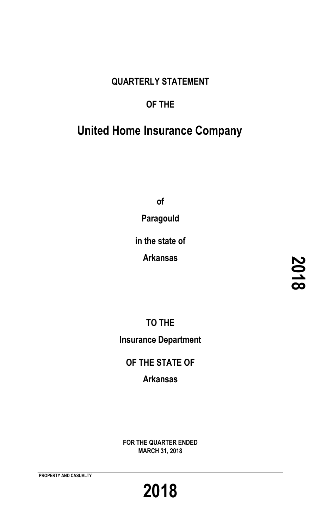# **QUARTERLY STATEMENT**

# **OF THE**

# **United Home Insurance Company**

**of**

**Paragould**

**in the state of**

**Arkansas**

**TO THE Insurance Department**

**OF THE STATE OF**

**Arkansas**

**FOR THE QUARTER ENDED MARCH 31, 2018**

**PROPERTY AND CASUALTY**

**2018**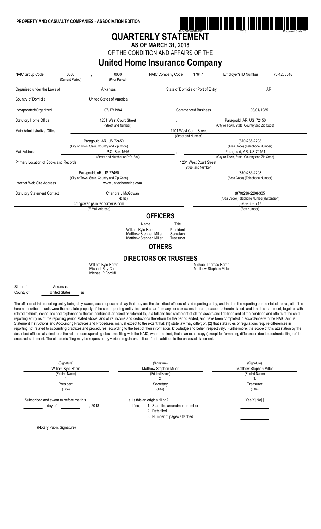

# **QUARTERLY STATEMENT**

**AS OF MARCH 31, 2018**

OF THE CONDITION AND AFFAIRS OF THE

### **United Home Insurance Company**

| <b>NAIC Group Code</b>                | 0000<br>(Current Period)                                               | 0000<br>(Prior Period)                                                                                                                | NAIC Company Code                                                       | 17647                                                         | 73-1233518<br>Employer's ID Number                                                                                                                                                                                                                                                                                                                                                                                                                                                                                                                                                                                                                                                                                                                                                                                                                                                                                                                                                                                                                                                                                                                                                                                                                                                                                                                                                                                                                                           |
|---------------------------------------|------------------------------------------------------------------------|---------------------------------------------------------------------------------------------------------------------------------------|-------------------------------------------------------------------------|---------------------------------------------------------------|------------------------------------------------------------------------------------------------------------------------------------------------------------------------------------------------------------------------------------------------------------------------------------------------------------------------------------------------------------------------------------------------------------------------------------------------------------------------------------------------------------------------------------------------------------------------------------------------------------------------------------------------------------------------------------------------------------------------------------------------------------------------------------------------------------------------------------------------------------------------------------------------------------------------------------------------------------------------------------------------------------------------------------------------------------------------------------------------------------------------------------------------------------------------------------------------------------------------------------------------------------------------------------------------------------------------------------------------------------------------------------------------------------------------------------------------------------------------------|
| Organized under the Laws of           |                                                                        | Arkansas                                                                                                                              |                                                                         | State of Domicile or Port of Entry                            | AR                                                                                                                                                                                                                                                                                                                                                                                                                                                                                                                                                                                                                                                                                                                                                                                                                                                                                                                                                                                                                                                                                                                                                                                                                                                                                                                                                                                                                                                                           |
| Country of Domicile                   |                                                                        | United States of America                                                                                                              |                                                                         |                                                               |                                                                                                                                                                                                                                                                                                                                                                                                                                                                                                                                                                                                                                                                                                                                                                                                                                                                                                                                                                                                                                                                                                                                                                                                                                                                                                                                                                                                                                                                              |
| Incorporated/Organized                |                                                                        | 07/17/1984                                                                                                                            |                                                                         | <b>Commenced Business</b>                                     | 03/01/1985                                                                                                                                                                                                                                                                                                                                                                                                                                                                                                                                                                                                                                                                                                                                                                                                                                                                                                                                                                                                                                                                                                                                                                                                                                                                                                                                                                                                                                                                   |
| <b>Statutory Home Office</b>          |                                                                        | 1201 West Court Street                                                                                                                |                                                                         |                                                               | Paragould, AR, US 72450                                                                                                                                                                                                                                                                                                                                                                                                                                                                                                                                                                                                                                                                                                                                                                                                                                                                                                                                                                                                                                                                                                                                                                                                                                                                                                                                                                                                                                                      |
| Main Administrative Office            |                                                                        | (Street and Number)                                                                                                                   |                                                                         | 1201 West Court Street                                        | (City or Town, State, Country and Zip Code)                                                                                                                                                                                                                                                                                                                                                                                                                                                                                                                                                                                                                                                                                                                                                                                                                                                                                                                                                                                                                                                                                                                                                                                                                                                                                                                                                                                                                                  |
|                                       |                                                                        |                                                                                                                                       | (Street and Number)                                                     |                                                               |                                                                                                                                                                                                                                                                                                                                                                                                                                                                                                                                                                                                                                                                                                                                                                                                                                                                                                                                                                                                                                                                                                                                                                                                                                                                                                                                                                                                                                                                              |
|                                       | (City or Town, State, Country and Zip Code)                            | Paragould, AR, US 72450                                                                                                               |                                                                         |                                                               | (870)236-2208<br>(Area Code) (Telephone Number)                                                                                                                                                                                                                                                                                                                                                                                                                                                                                                                                                                                                                                                                                                                                                                                                                                                                                                                                                                                                                                                                                                                                                                                                                                                                                                                                                                                                                              |
| Mail Address                          |                                                                        | P.O. Box 1546                                                                                                                         |                                                                         |                                                               | Paragould, AR, US 72451                                                                                                                                                                                                                                                                                                                                                                                                                                                                                                                                                                                                                                                                                                                                                                                                                                                                                                                                                                                                                                                                                                                                                                                                                                                                                                                                                                                                                                                      |
|                                       |                                                                        | (Street and Number or P.O. Box)                                                                                                       |                                                                         |                                                               | (City or Town, State, Country and Zip Code)                                                                                                                                                                                                                                                                                                                                                                                                                                                                                                                                                                                                                                                                                                                                                                                                                                                                                                                                                                                                                                                                                                                                                                                                                                                                                                                                                                                                                                  |
| Primary Location of Books and Records |                                                                        |                                                                                                                                       |                                                                         | 1201 West Court Street                                        |                                                                                                                                                                                                                                                                                                                                                                                                                                                                                                                                                                                                                                                                                                                                                                                                                                                                                                                                                                                                                                                                                                                                                                                                                                                                                                                                                                                                                                                                              |
|                                       |                                                                        |                                                                                                                                       |                                                                         | (Street and Number)                                           |                                                                                                                                                                                                                                                                                                                                                                                                                                                                                                                                                                                                                                                                                                                                                                                                                                                                                                                                                                                                                                                                                                                                                                                                                                                                                                                                                                                                                                                                              |
|                                       | Paragould, AR, US 72450<br>(City or Town, State, Country and Zip Code) |                                                                                                                                       |                                                                         |                                                               | (870)236-2208<br>(Area Code) (Telephone Number)                                                                                                                                                                                                                                                                                                                                                                                                                                                                                                                                                                                                                                                                                                                                                                                                                                                                                                                                                                                                                                                                                                                                                                                                                                                                                                                                                                                                                              |
| Internet Web Site Address             |                                                                        | www.unitedhomeins.com                                                                                                                 |                                                                         |                                                               |                                                                                                                                                                                                                                                                                                                                                                                                                                                                                                                                                                                                                                                                                                                                                                                                                                                                                                                                                                                                                                                                                                                                                                                                                                                                                                                                                                                                                                                                              |
| <b>Statutory Statement Contact</b>    |                                                                        | Chandra L McGowan                                                                                                                     |                                                                         |                                                               | (870)236-2208-305                                                                                                                                                                                                                                                                                                                                                                                                                                                                                                                                                                                                                                                                                                                                                                                                                                                                                                                                                                                                                                                                                                                                                                                                                                                                                                                                                                                                                                                            |
|                                       |                                                                        | (Name)                                                                                                                                |                                                                         |                                                               | (Area Code)(Telephone Number)(Extension)                                                                                                                                                                                                                                                                                                                                                                                                                                                                                                                                                                                                                                                                                                                                                                                                                                                                                                                                                                                                                                                                                                                                                                                                                                                                                                                                                                                                                                     |
|                                       | cmcgowan@unitedhomeins.com<br>(E-Mail Address)                         |                                                                                                                                       |                                                                         |                                                               | (870) 236-5717<br>(Fax Number)                                                                                                                                                                                                                                                                                                                                                                                                                                                                                                                                                                                                                                                                                                                                                                                                                                                                                                                                                                                                                                                                                                                                                                                                                                                                                                                                                                                                                                               |
|                                       |                                                                        | Matthew Stephen Miller<br>Matthew Stephen Miller<br>William Kyle Harris<br>Michael Ray Cline<br>Michael P Ford #                      | Secretary<br>Treasurer<br><b>OTHERS</b><br><b>DIRECTORS OR TRUSTEES</b> | <b>Michael Thomas Harris</b><br><b>Matthew Stephen Miller</b> |                                                                                                                                                                                                                                                                                                                                                                                                                                                                                                                                                                                                                                                                                                                                                                                                                                                                                                                                                                                                                                                                                                                                                                                                                                                                                                                                                                                                                                                                              |
| State of<br>County of                 | Arkansas<br><b>United States</b><br>SS                                 |                                                                                                                                       |                                                                         |                                                               |                                                                                                                                                                                                                                                                                                                                                                                                                                                                                                                                                                                                                                                                                                                                                                                                                                                                                                                                                                                                                                                                                                                                                                                                                                                                                                                                                                                                                                                                              |
|                                       | (Signature)<br>William Kyle Harris<br>(Printed Name)                   | enclosed statement. The electronic filing may be requested by various regulators in lieu of or in addition to the enclosed statement. | (Signature)<br>Matthew Stephen Miller<br>(Printed Name)                 |                                                               | The officers of this reporting entity being duly sworn, each depose and say that they are the described officers of said reporting entity, and that on the reporting period stated above, all of the<br>herein described assets were the absolute property of the said reporting entity, free and clear from any liens or claims thereon, except as herein stated, and that this statement, together with<br>related exhibits, schedules and explanations therein contained, annexed or referred to, is a full and true statement of all the assets and liabilities and of the condition and affairs of the said<br>reporting entity as of the reporting period stated above, and of its income and deductions therefrom for the period ended, and have been completed in accordance with the NAIC Annual<br>Statement Instructions and Accounting Practices and Procedures manual except to the extent that: (1) state law may differ; or, (2) that state rules or regulations require differences in<br>reporting not related to accounting practices and procedures, according to the best of their information, knowledge and belief, respectively. Furthermore, the scope of this attestation by the<br>described officers also includes the related corresponding electronic filing with the NAIC, when required, that is an exact copy (except for formatting differences due to electronic filing) of the<br>(Signature)<br>Matthew Stephen Miller<br>(Printed Name) |
|                                       | 1.                                                                     |                                                                                                                                       | 2.                                                                      |                                                               | 3.                                                                                                                                                                                                                                                                                                                                                                                                                                                                                                                                                                                                                                                                                                                                                                                                                                                                                                                                                                                                                                                                                                                                                                                                                                                                                                                                                                                                                                                                           |

President Secretary Secretary Secretary Secretary Secretary Secretary Secretary Secretary Secretary Secretary Secretary Secretary Secretary Secretary Secretary Secretary Secretary Secretary Secretary Secretary Secretary Se

| (Title)                                |      | 'Title)                                   | (Title)     |
|----------------------------------------|------|-------------------------------------------|-------------|
| Subscribed and sworn to before me this |      | a. Is this an original filing?            | Yes[X] No[] |
| day of                                 | 2018 | . State the amendment number<br>b. If no. |             |
|                                        |      | 2. Date filed                             |             |

3. Number of pages attached

(Notary Public Signature)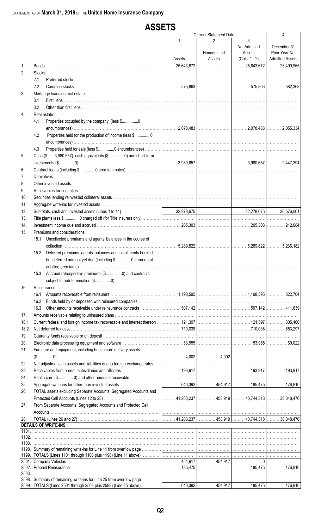|       |         | <b>ASSETS</b>                                                                                                              |                       |                               |                                                |                                                         |
|-------|---------|----------------------------------------------------------------------------------------------------------------------------|-----------------------|-------------------------------|------------------------------------------------|---------------------------------------------------------|
|       |         |                                                                                                                            |                       | <b>Current Statement Date</b> |                                                | 4                                                       |
|       |         |                                                                                                                            | $\mathbf 1$<br>Assets | 2<br>Nonadmitted<br>Assets    | 3<br>Net Admitted<br>Assets<br>$(Cols. 1 - 2)$ | December 31<br>Prior Year Net<br><b>Admitted Assets</b> |
| 1.    |         |                                                                                                                            | 25,643,672<br>.       |                               |                                                |                                                         |
| 2.    | Stocks: |                                                                                                                            |                       |                               |                                                |                                                         |
|       | 2.1     |                                                                                                                            |                       |                               |                                                |                                                         |
|       | 2.2     |                                                                                                                            |                       |                               |                                                |                                                         |
| 3.    |         | Mortgage loans on real estate:                                                                                             |                       |                               |                                                |                                                         |
|       | 3.1     |                                                                                                                            |                       |                               |                                                |                                                         |
|       | 3.2     |                                                                                                                            |                       |                               |                                                |                                                         |
| 4.    |         | Real estate:                                                                                                               |                       |                               |                                                |                                                         |
|       | 4.1     | Properties occupied by the company (less \$0                                                                               |                       |                               |                                                |                                                         |
|       |         |                                                                                                                            |                       |                               |                                                |                                                         |
|       | 4.2     | Properties held for the production of income (less \$0                                                                     |                       |                               |                                                |                                                         |
|       |         |                                                                                                                            |                       |                               |                                                |                                                         |
|       | 4.3     |                                                                                                                            |                       |                               |                                                |                                                         |
| 5.    |         | Cash (\$3,980,657), cash equivalents (\$0) and short-term                                                                  |                       |                               |                                                |                                                         |
| 6.    |         |                                                                                                                            |                       |                               |                                                |                                                         |
| 7.    |         |                                                                                                                            |                       |                               |                                                |                                                         |
| 8.    |         |                                                                                                                            |                       |                               |                                                |                                                         |
| 9.    |         |                                                                                                                            |                       |                               |                                                |                                                         |
| 10.   |         |                                                                                                                            |                       |                               |                                                |                                                         |
| 11.   |         |                                                                                                                            |                       |                               |                                                |                                                         |
| 12.   |         |                                                                                                                            |                       |                               |                                                |                                                         |
| 13.   |         |                                                                                                                            |                       |                               |                                                |                                                         |
| 14.   |         |                                                                                                                            |                       |                               |                                                |                                                         |
| 15.   |         | Premiums and considerations:                                                                                               |                       |                               |                                                |                                                         |
|       | 15.1    | Uncollected premiums and agents' balances in the course of                                                                 |                       |                               |                                                | 5,236,182                                               |
|       |         | 15.2 Deferred premiums, agents' balances and installments booked<br>but deferred and not yet due (including \$0 earned but |                       |                               |                                                |                                                         |
|       |         | 15.3 Accrued retrospective premiums (\$0) and contracts                                                                    |                       |                               |                                                |                                                         |
|       |         |                                                                                                                            |                       |                               |                                                |                                                         |
| 16.   |         | Reinsurance:                                                                                                               |                       |                               |                                                |                                                         |
|       | 16.1    |                                                                                                                            |                       |                               |                                                |                                                         |
|       | 16.2    |                                                                                                                            |                       |                               |                                                |                                                         |
|       | 16.3    |                                                                                                                            |                       |                               |                                                |                                                         |
| 17.   |         |                                                                                                                            |                       |                               |                                                |                                                         |
| 18.1  |         |                                                                                                                            |                       |                               |                                                |                                                         |
| 18.2  |         |                                                                                                                            |                       |                               |                                                |                                                         |
| 19.   |         |                                                                                                                            |                       |                               |                                                |                                                         |
| 20.   |         |                                                                                                                            |                       |                               |                                                |                                                         |
| 21.   |         | Furniture and equipment, including health care delivery assets                                                             |                       |                               |                                                |                                                         |
| 22.   |         |                                                                                                                            |                       |                               |                                                |                                                         |
| 23.   |         |                                                                                                                            |                       |                               |                                                |                                                         |
| 24.   |         |                                                                                                                            |                       |                               |                                                |                                                         |
| 25.   |         |                                                                                                                            |                       |                               |                                                |                                                         |
| 26.   |         | TOTAL assets excluding Separate Accounts, Segregated Accounts and                                                          |                       |                               |                                                |                                                         |
|       |         |                                                                                                                            |                       |                               |                                                |                                                         |
| 27.   |         | From Separate Accounts, Segregated Accounts and Protected Cell                                                             |                       |                               |                                                |                                                         |
|       |         |                                                                                                                            |                       |                               |                                                |                                                         |
| 28.   |         |                                                                                                                            |                       |                               |                                                |                                                         |
|       |         | <b>DETAILS OF WRITE-INS</b>                                                                                                |                       |                               |                                                |                                                         |
|       |         |                                                                                                                            |                       |                               |                                                |                                                         |
| 1102. |         |                                                                                                                            |                       |                               |                                                |                                                         |
| 1103. |         |                                                                                                                            |                       |                               |                                                |                                                         |
|       |         |                                                                                                                            |                       |                               |                                                |                                                         |
|       |         |                                                                                                                            |                       |                               |                                                |                                                         |
|       |         |                                                                                                                            |                       |                               |                                                |                                                         |
| 2503. |         |                                                                                                                            |                       |                               |                                                |                                                         |
|       |         |                                                                                                                            |                       |                               |                                                |                                                         |
|       |         |                                                                                                                            |                       |                               |                                                |                                                         |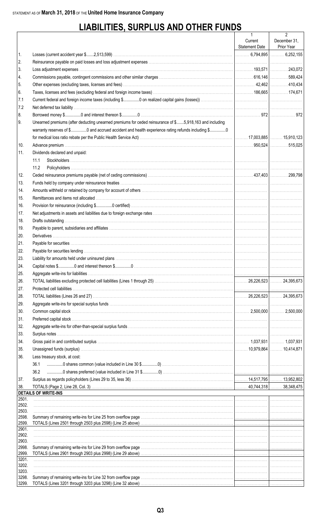# **LIABILITIES, SURPLUS AND OTHER FUNDS**

|                |                                                                                                                        | $\mathbf{1}$          | $\overline{2}$ |
|----------------|------------------------------------------------------------------------------------------------------------------------|-----------------------|----------------|
|                |                                                                                                                        | Current               | December 31,   |
|                |                                                                                                                        | <b>Statement Date</b> | Prior Year     |
| 1.             |                                                                                                                        |                       |                |
| 2.             |                                                                                                                        |                       |                |
| 3.             |                                                                                                                        |                       |                |
| 4.             |                                                                                                                        |                       |                |
| 5.<br>6.       |                                                                                                                        |                       |                |
|                |                                                                                                                        |                       |                |
| 7.1<br>7.2     |                                                                                                                        |                       |                |
| 8.             |                                                                                                                        |                       |                |
| 9.             | Unearned premiums (after deducting unearned premiums for ceded reinsurance of \$5,918,163 and including                |                       |                |
|                | warranty reserves of \$0 and accrued accident and health experience rating refunds including \$0                       |                       |                |
|                |                                                                                                                        |                       |                |
| 10.            |                                                                                                                        |                       |                |
| 11.            | Dividends declared and unpaid:                                                                                         |                       |                |
|                | 11.1                                                                                                                   |                       |                |
|                | 11.2                                                                                                                   |                       |                |
| 12.            |                                                                                                                        |                       |                |
| 13.            |                                                                                                                        |                       |                |
| 14.            |                                                                                                                        |                       |                |
| 15.            |                                                                                                                        |                       |                |
| 16.            |                                                                                                                        |                       |                |
| 17.            |                                                                                                                        |                       |                |
| 18.            |                                                                                                                        |                       |                |
| 19.            |                                                                                                                        |                       |                |
| 20.            |                                                                                                                        |                       |                |
| 21.            |                                                                                                                        |                       |                |
| 22.            |                                                                                                                        |                       |                |
| 23.            |                                                                                                                        |                       |                |
| 24.            |                                                                                                                        |                       |                |
| 25.            |                                                                                                                        |                       |                |
| 26.            |                                                                                                                        |                       |                |
| 27.            |                                                                                                                        |                       |                |
| 28.            |                                                                                                                        |                       |                |
| 29.            |                                                                                                                        |                       |                |
| 30.            |                                                                                                                        |                       |                |
| 31.            |                                                                                                                        |                       |                |
| 32.            |                                                                                                                        |                       |                |
| 33.            |                                                                                                                        |                       |                |
| 34.            |                                                                                                                        |                       |                |
| 35.            |                                                                                                                        |                       |                |
| 36.            | Less treasury stock, at cost:                                                                                          |                       |                |
|                | 36.1                                                                                                                   |                       |                |
|                | 36.2                                                                                                                   |                       |                |
| 37.            |                                                                                                                        |                       |                |
| 38.            |                                                                                                                        |                       |                |
|                | <b>DETAILS OF WRITE-INS</b>                                                                                            |                       |                |
| 2501.          |                                                                                                                        |                       |                |
| 2502.<br>2503. |                                                                                                                        |                       |                |
| 2598.          |                                                                                                                        |                       |                |
| 2599.          |                                                                                                                        |                       |                |
| 2901.          |                                                                                                                        |                       |                |
| 2902.<br>2903. |                                                                                                                        |                       |                |
| 2998.          |                                                                                                                        |                       |                |
| 2999.          | TOTALS (Lines 2901 through 2903 plus 2998) (Line 29 above) <i>matter contained accordination accordination</i> and the |                       |                |
| 3201.          |                                                                                                                        |                       |                |
| 3202.<br>3203. |                                                                                                                        |                       |                |
| 3298.          |                                                                                                                        |                       |                |
| 3299.          |                                                                                                                        |                       |                |
|                |                                                                                                                        |                       |                |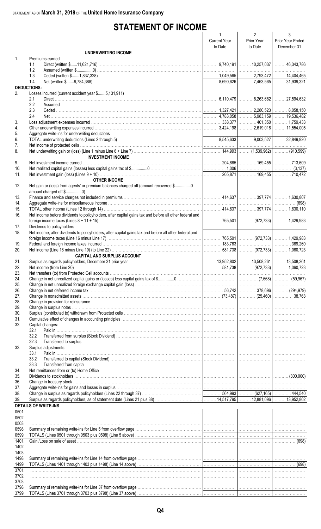# **STATEMENT OF INCOME**

|                    |                                                                                                                                                                                                                                | $\mathbf{1}$        | $\overline{2}$ | 3                |
|--------------------|--------------------------------------------------------------------------------------------------------------------------------------------------------------------------------------------------------------------------------|---------------------|----------------|------------------|
|                    |                                                                                                                                                                                                                                | <b>Current Year</b> | Prior Year     | Prior Year Ended |
|                    |                                                                                                                                                                                                                                | to Date             | to Date        | December 31      |
|                    | <b>UNDERWRITING INCOME</b>                                                                                                                                                                                                     |                     |                |                  |
| $\mathbf{1}$ .     | Premiums earned                                                                                                                                                                                                                |                     |                |                  |
|                    | 1.1                                                                                                                                                                                                                            |                     |                |                  |
|                    | 1.2                                                                                                                                                                                                                            |                     |                |                  |
|                    | 1.3                                                                                                                                                                                                                            |                     |                |                  |
|                    | 1.4                                                                                                                                                                                                                            |                     |                |                  |
|                    |                                                                                                                                                                                                                                |                     |                |                  |
| <b>DEDUCTIONS:</b> |                                                                                                                                                                                                                                |                     |                |                  |
| 2.                 | Losses incurred (current accident year \$5,131,911)                                                                                                                                                                            |                     |                |                  |
|                    | 2.1                                                                                                                                                                                                                            |                     |                |                  |
|                    | 2.2                                                                                                                                                                                                                            |                     |                |                  |
|                    | 2.3                                                                                                                                                                                                                            |                     |                |                  |
|                    | 2.4                                                                                                                                                                                                                            |                     |                |                  |
| 3.                 |                                                                                                                                                                                                                                |                     |                |                  |
| 4.                 |                                                                                                                                                                                                                                |                     |                |                  |
| 5.                 |                                                                                                                                                                                                                                |                     |                |                  |
| 6.                 |                                                                                                                                                                                                                                |                     |                |                  |
| 7.                 |                                                                                                                                                                                                                                |                     |                |                  |
| 8.                 |                                                                                                                                                                                                                                |                     |                |                  |
|                    |                                                                                                                                                                                                                                |                     |                |                  |
|                    | <b>INVESTMENT INCOME</b>                                                                                                                                                                                                       |                     |                |                  |
| 9.                 |                                                                                                                                                                                                                                |                     |                |                  |
| 10.                |                                                                                                                                                                                                                                |                     |                |                  |
| 11.                |                                                                                                                                                                                                                                |                     |                |                  |
|                    | <b>OTHER INCOME</b>                                                                                                                                                                                                            |                     |                |                  |
| 12.                | Net gain or (loss) from agents' or premium balances charged off (amount recovered \$0                                                                                                                                          |                     |                |                  |
|                    |                                                                                                                                                                                                                                |                     |                |                  |
| 13.                |                                                                                                                                                                                                                                |                     |                |                  |
| 14.                |                                                                                                                                                                                                                                |                     |                |                  |
|                    |                                                                                                                                                                                                                                |                     |                |                  |
| 15.                |                                                                                                                                                                                                                                |                     |                |                  |
| 16.                | Net income before dividends to policyholders, after capital gains tax and before all other federal and                                                                                                                         |                     |                |                  |
|                    |                                                                                                                                                                                                                                |                     |                |                  |
| 17.                |                                                                                                                                                                                                                                |                     |                |                  |
| 18.                | Net income, after dividends to policyholders, after capital gains tax and before all other federal and                                                                                                                         |                     |                |                  |
|                    |                                                                                                                                                                                                                                |                     |                |                  |
| 19.                |                                                                                                                                                                                                                                |                     |                |                  |
| 20.                |                                                                                                                                                                                                                                |                     |                |                  |
|                    | <b>CAPITAL AND SURPLUS ACCOUNT</b>                                                                                                                                                                                             |                     |                |                  |
|                    |                                                                                                                                                                                                                                |                     |                |                  |
| 21.                |                                                                                                                                                                                                                                |                     |                |                  |
| 22.                |                                                                                                                                                                                                                                |                     |                |                  |
| 23.                |                                                                                                                                                                                                                                |                     |                |                  |
| 24.                |                                                                                                                                                                                                                                |                     |                |                  |
| 25.                |                                                                                                                                                                                                                                |                     |                |                  |
| 26.                |                                                                                                                                                                                                                                |                     |                |                  |
| 27.                |                                                                                                                                                                                                                                |                     |                |                  |
| 28.                |                                                                                                                                                                                                                                |                     |                |                  |
| 29.                |                                                                                                                                                                                                                                |                     |                |                  |
| 30.                |                                                                                                                                                                                                                                |                     |                |                  |
| 31.                |                                                                                                                                                                                                                                |                     |                |                  |
| 32.                |                                                                                                                                                                                                                                |                     |                |                  |
|                    | Capital changes:                                                                                                                                                                                                               |                     |                |                  |
|                    | 32.1                                                                                                                                                                                                                           |                     |                |                  |
|                    | 32.2                                                                                                                                                                                                                           |                     |                |                  |
|                    | 32.3                                                                                                                                                                                                                           |                     |                |                  |
| 33.                | Surplus adjustments:                                                                                                                                                                                                           |                     |                |                  |
|                    | Paid in<br>33.1                                                                                                                                                                                                                |                     |                |                  |
|                    | 33.2                                                                                                                                                                                                                           |                     |                |                  |
|                    | 33.3                                                                                                                                                                                                                           |                     |                |                  |
| 34.                |                                                                                                                                                                                                                                |                     |                |                  |
| 35.                |                                                                                                                                                                                                                                |                     |                |                  |
| 36.                |                                                                                                                                                                                                                                |                     |                |                  |
| 37.                | Aggregate write-ins for gains and losses in surplus with the content of the content content of the content of the content of the content of the content of the content of the content of the content of the content of the con |                     |                |                  |
| 38.                |                                                                                                                                                                                                                                |                     |                |                  |
| 39.                |                                                                                                                                                                                                                                |                     |                |                  |
|                    |                                                                                                                                                                                                                                |                     |                |                  |
|                    | <b>DETAILS OF WRITE-INS</b>                                                                                                                                                                                                    |                     |                |                  |
| 0501.              |                                                                                                                                                                                                                                |                     |                |                  |
| 0502.              |                                                                                                                                                                                                                                |                     |                |                  |
| 0503.              |                                                                                                                                                                                                                                |                     |                |                  |
| 0598.              |                                                                                                                                                                                                                                |                     |                |                  |
| 0599.              |                                                                                                                                                                                                                                |                     |                |                  |
| 1401.              |                                                                                                                                                                                                                                |                     |                |                  |
| 1402.              |                                                                                                                                                                                                                                |                     |                |                  |
| 1403.              |                                                                                                                                                                                                                                |                     |                |                  |
| 1498.              |                                                                                                                                                                                                                                |                     |                |                  |
| 1499.              |                                                                                                                                                                                                                                |                     |                |                  |
|                    |                                                                                                                                                                                                                                |                     |                |                  |
| 3701.              |                                                                                                                                                                                                                                |                     |                |                  |
| 3702.              |                                                                                                                                                                                                                                |                     |                |                  |
| 3703.              |                                                                                                                                                                                                                                |                     |                |                  |
| 3798.              |                                                                                                                                                                                                                                |                     |                |                  |
| 3799.              |                                                                                                                                                                                                                                |                     |                |                  |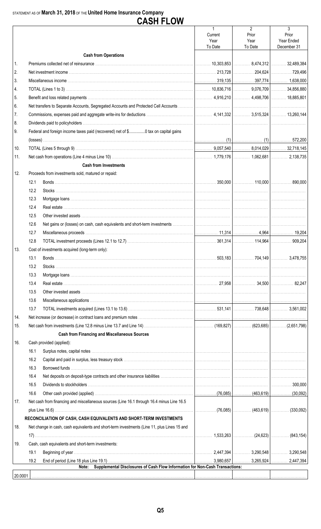#### STATEMENT AS OF March 31, 2018 OF THE United Home Insurance Company

| $\overline{2}$<br>3<br>Prior<br>Prior<br>Current<br>Year<br>Year<br>Year Ended<br>To Date<br>To Date<br>December 31<br><b>Cash from Operations</b><br>1.<br>2.<br>3.<br>4.<br>5.<br>6.<br>7.<br>8.<br>Federal and foreign income taxes paid (recovered) net of \$0 tax on capital gains<br>9.<br>10.<br>11.<br><b>Cash from Investments</b><br>12.<br>Proceeds from investments sold, matured or repaid:<br>12.1<br>12.2<br>12.3<br>12.4<br>12.5<br>12.6<br>12.7<br>12.8<br>Cost of investments acquired (long-term only):<br>  13.<br>13.1<br>13.2<br>13.3<br>13.4<br>13.5<br>13.6<br>13.7<br>14.<br>15.<br><b>Cash from Financing and Miscellaneous Sources</b><br>Cash provided (applied):<br>16.<br>16.1<br>16.2<br>16.3<br>16.4<br>16.5<br>16.6<br>Net cash from financing and miscellaneous sources (Line 16.1 through 16.4 minus Line 16.5<br>17.<br>RECONCILIATION OF CASH, CASH EQUIVALENTS AND SHORT-TERM INVESTMENTS<br>18.<br>Net change in cash, cash equivalents and short-term investments (Line 11, plus Lines 15 and<br>. $1,533,263$ $\vert$ (24,623) $\vert$<br>.<br>19.<br>Cash, cash equivalents and short-term investments:<br>19.1<br>19.2<br>Supplemental Disclosures of Cash Flow Information for Non-Cash Transactions:<br>Note:<br>20.0001 |  | <b>CASH FLOW</b> |  |            |
|-----------------------------------------------------------------------------------------------------------------------------------------------------------------------------------------------------------------------------------------------------------------------------------------------------------------------------------------------------------------------------------------------------------------------------------------------------------------------------------------------------------------------------------------------------------------------------------------------------------------------------------------------------------------------------------------------------------------------------------------------------------------------------------------------------------------------------------------------------------------------------------------------------------------------------------------------------------------------------------------------------------------------------------------------------------------------------------------------------------------------------------------------------------------------------------------------------------------------------------------------------------------------|--|------------------|--|------------|
|                                                                                                                                                                                                                                                                                                                                                                                                                                                                                                                                                                                                                                                                                                                                                                                                                                                                                                                                                                                                                                                                                                                                                                                                                                                                       |  |                  |  |            |
|                                                                                                                                                                                                                                                                                                                                                                                                                                                                                                                                                                                                                                                                                                                                                                                                                                                                                                                                                                                                                                                                                                                                                                                                                                                                       |  |                  |  |            |
|                                                                                                                                                                                                                                                                                                                                                                                                                                                                                                                                                                                                                                                                                                                                                                                                                                                                                                                                                                                                                                                                                                                                                                                                                                                                       |  |                  |  |            |
|                                                                                                                                                                                                                                                                                                                                                                                                                                                                                                                                                                                                                                                                                                                                                                                                                                                                                                                                                                                                                                                                                                                                                                                                                                                                       |  |                  |  |            |
|                                                                                                                                                                                                                                                                                                                                                                                                                                                                                                                                                                                                                                                                                                                                                                                                                                                                                                                                                                                                                                                                                                                                                                                                                                                                       |  |                  |  |            |
|                                                                                                                                                                                                                                                                                                                                                                                                                                                                                                                                                                                                                                                                                                                                                                                                                                                                                                                                                                                                                                                                                                                                                                                                                                                                       |  |                  |  |            |
|                                                                                                                                                                                                                                                                                                                                                                                                                                                                                                                                                                                                                                                                                                                                                                                                                                                                                                                                                                                                                                                                                                                                                                                                                                                                       |  |                  |  |            |
|                                                                                                                                                                                                                                                                                                                                                                                                                                                                                                                                                                                                                                                                                                                                                                                                                                                                                                                                                                                                                                                                                                                                                                                                                                                                       |  |                  |  |            |
|                                                                                                                                                                                                                                                                                                                                                                                                                                                                                                                                                                                                                                                                                                                                                                                                                                                                                                                                                                                                                                                                                                                                                                                                                                                                       |  |                  |  |            |
|                                                                                                                                                                                                                                                                                                                                                                                                                                                                                                                                                                                                                                                                                                                                                                                                                                                                                                                                                                                                                                                                                                                                                                                                                                                                       |  |                  |  |            |
|                                                                                                                                                                                                                                                                                                                                                                                                                                                                                                                                                                                                                                                                                                                                                                                                                                                                                                                                                                                                                                                                                                                                                                                                                                                                       |  |                  |  |            |
|                                                                                                                                                                                                                                                                                                                                                                                                                                                                                                                                                                                                                                                                                                                                                                                                                                                                                                                                                                                                                                                                                                                                                                                                                                                                       |  |                  |  |            |
|                                                                                                                                                                                                                                                                                                                                                                                                                                                                                                                                                                                                                                                                                                                                                                                                                                                                                                                                                                                                                                                                                                                                                                                                                                                                       |  |                  |  |            |
|                                                                                                                                                                                                                                                                                                                                                                                                                                                                                                                                                                                                                                                                                                                                                                                                                                                                                                                                                                                                                                                                                                                                                                                                                                                                       |  |                  |  |            |
|                                                                                                                                                                                                                                                                                                                                                                                                                                                                                                                                                                                                                                                                                                                                                                                                                                                                                                                                                                                                                                                                                                                                                                                                                                                                       |  |                  |  |            |
|                                                                                                                                                                                                                                                                                                                                                                                                                                                                                                                                                                                                                                                                                                                                                                                                                                                                                                                                                                                                                                                                                                                                                                                                                                                                       |  |                  |  |            |
|                                                                                                                                                                                                                                                                                                                                                                                                                                                                                                                                                                                                                                                                                                                                                                                                                                                                                                                                                                                                                                                                                                                                                                                                                                                                       |  |                  |  |            |
|                                                                                                                                                                                                                                                                                                                                                                                                                                                                                                                                                                                                                                                                                                                                                                                                                                                                                                                                                                                                                                                                                                                                                                                                                                                                       |  |                  |  |            |
|                                                                                                                                                                                                                                                                                                                                                                                                                                                                                                                                                                                                                                                                                                                                                                                                                                                                                                                                                                                                                                                                                                                                                                                                                                                                       |  |                  |  |            |
|                                                                                                                                                                                                                                                                                                                                                                                                                                                                                                                                                                                                                                                                                                                                                                                                                                                                                                                                                                                                                                                                                                                                                                                                                                                                       |  |                  |  |            |
|                                                                                                                                                                                                                                                                                                                                                                                                                                                                                                                                                                                                                                                                                                                                                                                                                                                                                                                                                                                                                                                                                                                                                                                                                                                                       |  |                  |  |            |
|                                                                                                                                                                                                                                                                                                                                                                                                                                                                                                                                                                                                                                                                                                                                                                                                                                                                                                                                                                                                                                                                                                                                                                                                                                                                       |  |                  |  |            |
|                                                                                                                                                                                                                                                                                                                                                                                                                                                                                                                                                                                                                                                                                                                                                                                                                                                                                                                                                                                                                                                                                                                                                                                                                                                                       |  |                  |  |            |
|                                                                                                                                                                                                                                                                                                                                                                                                                                                                                                                                                                                                                                                                                                                                                                                                                                                                                                                                                                                                                                                                                                                                                                                                                                                                       |  |                  |  |            |
|                                                                                                                                                                                                                                                                                                                                                                                                                                                                                                                                                                                                                                                                                                                                                                                                                                                                                                                                                                                                                                                                                                                                                                                                                                                                       |  |                  |  |            |
|                                                                                                                                                                                                                                                                                                                                                                                                                                                                                                                                                                                                                                                                                                                                                                                                                                                                                                                                                                                                                                                                                                                                                                                                                                                                       |  |                  |  |            |
|                                                                                                                                                                                                                                                                                                                                                                                                                                                                                                                                                                                                                                                                                                                                                                                                                                                                                                                                                                                                                                                                                                                                                                                                                                                                       |  |                  |  |            |
|                                                                                                                                                                                                                                                                                                                                                                                                                                                                                                                                                                                                                                                                                                                                                                                                                                                                                                                                                                                                                                                                                                                                                                                                                                                                       |  |                  |  |            |
|                                                                                                                                                                                                                                                                                                                                                                                                                                                                                                                                                                                                                                                                                                                                                                                                                                                                                                                                                                                                                                                                                                                                                                                                                                                                       |  |                  |  |            |
|                                                                                                                                                                                                                                                                                                                                                                                                                                                                                                                                                                                                                                                                                                                                                                                                                                                                                                                                                                                                                                                                                                                                                                                                                                                                       |  |                  |  |            |
|                                                                                                                                                                                                                                                                                                                                                                                                                                                                                                                                                                                                                                                                                                                                                                                                                                                                                                                                                                                                                                                                                                                                                                                                                                                                       |  |                  |  |            |
|                                                                                                                                                                                                                                                                                                                                                                                                                                                                                                                                                                                                                                                                                                                                                                                                                                                                                                                                                                                                                                                                                                                                                                                                                                                                       |  |                  |  |            |
|                                                                                                                                                                                                                                                                                                                                                                                                                                                                                                                                                                                                                                                                                                                                                                                                                                                                                                                                                                                                                                                                                                                                                                                                                                                                       |  |                  |  |            |
|                                                                                                                                                                                                                                                                                                                                                                                                                                                                                                                                                                                                                                                                                                                                                                                                                                                                                                                                                                                                                                                                                                                                                                                                                                                                       |  |                  |  |            |
|                                                                                                                                                                                                                                                                                                                                                                                                                                                                                                                                                                                                                                                                                                                                                                                                                                                                                                                                                                                                                                                                                                                                                                                                                                                                       |  |                  |  |            |
|                                                                                                                                                                                                                                                                                                                                                                                                                                                                                                                                                                                                                                                                                                                                                                                                                                                                                                                                                                                                                                                                                                                                                                                                                                                                       |  |                  |  |            |
|                                                                                                                                                                                                                                                                                                                                                                                                                                                                                                                                                                                                                                                                                                                                                                                                                                                                                                                                                                                                                                                                                                                                                                                                                                                                       |  |                  |  |            |
|                                                                                                                                                                                                                                                                                                                                                                                                                                                                                                                                                                                                                                                                                                                                                                                                                                                                                                                                                                                                                                                                                                                                                                                                                                                                       |  |                  |  |            |
|                                                                                                                                                                                                                                                                                                                                                                                                                                                                                                                                                                                                                                                                                                                                                                                                                                                                                                                                                                                                                                                                                                                                                                                                                                                                       |  |                  |  |            |
|                                                                                                                                                                                                                                                                                                                                                                                                                                                                                                                                                                                                                                                                                                                                                                                                                                                                                                                                                                                                                                                                                                                                                                                                                                                                       |  |                  |  |            |
|                                                                                                                                                                                                                                                                                                                                                                                                                                                                                                                                                                                                                                                                                                                                                                                                                                                                                                                                                                                                                                                                                                                                                                                                                                                                       |  |                  |  |            |
|                                                                                                                                                                                                                                                                                                                                                                                                                                                                                                                                                                                                                                                                                                                                                                                                                                                                                                                                                                                                                                                                                                                                                                                                                                                                       |  |                  |  |            |
|                                                                                                                                                                                                                                                                                                                                                                                                                                                                                                                                                                                                                                                                                                                                                                                                                                                                                                                                                                                                                                                                                                                                                                                                                                                                       |  |                  |  |            |
|                                                                                                                                                                                                                                                                                                                                                                                                                                                                                                                                                                                                                                                                                                                                                                                                                                                                                                                                                                                                                                                                                                                                                                                                                                                                       |  |                  |  |            |
|                                                                                                                                                                                                                                                                                                                                                                                                                                                                                                                                                                                                                                                                                                                                                                                                                                                                                                                                                                                                                                                                                                                                                                                                                                                                       |  |                  |  |            |
|                                                                                                                                                                                                                                                                                                                                                                                                                                                                                                                                                                                                                                                                                                                                                                                                                                                                                                                                                                                                                                                                                                                                                                                                                                                                       |  |                  |  |            |
|                                                                                                                                                                                                                                                                                                                                                                                                                                                                                                                                                                                                                                                                                                                                                                                                                                                                                                                                                                                                                                                                                                                                                                                                                                                                       |  |                  |  | (843, 154) |
|                                                                                                                                                                                                                                                                                                                                                                                                                                                                                                                                                                                                                                                                                                                                                                                                                                                                                                                                                                                                                                                                                                                                                                                                                                                                       |  |                  |  |            |
|                                                                                                                                                                                                                                                                                                                                                                                                                                                                                                                                                                                                                                                                                                                                                                                                                                                                                                                                                                                                                                                                                                                                                                                                                                                                       |  |                  |  |            |
|                                                                                                                                                                                                                                                                                                                                                                                                                                                                                                                                                                                                                                                                                                                                                                                                                                                                                                                                                                                                                                                                                                                                                                                                                                                                       |  |                  |  |            |
|                                                                                                                                                                                                                                                                                                                                                                                                                                                                                                                                                                                                                                                                                                                                                                                                                                                                                                                                                                                                                                                                                                                                                                                                                                                                       |  |                  |  |            |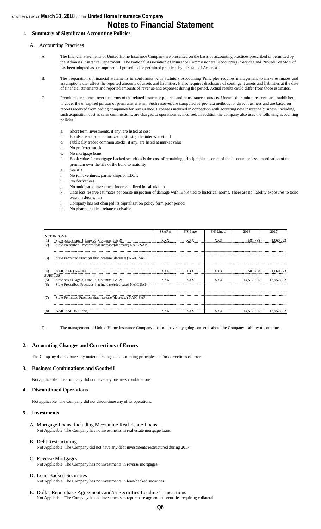#### STATEMENT AS OF **March 31, 2018** OF THE **United Home Insurance Company**

### **Notes to Financial Statement**

#### **1. Summary of Significant Accounting Policies**

#### A. Accounting Practices

- A. The financial statements of United Home Insurance Company are presented on the basis of accounting practices prescribed or permitted by the Arkansas Insurance Department. The National Association of Insurance Commissioners' *Accounting Practices and Procedures Manual*  has been adopted as a component of prescribed or permitted practices by the state of Arkansas.
- B. The preparation of financial statements in conformity with Statutory Accounting Principles requires management to make estimates and assumptions that affect the reported amounts of assets and liabilities. It also requires disclosure of contingent assets and liabilities at the date of financial statements and reported amounts of revenue and expenses during the period. Actual results could differ from those estimates.

C. Premiums are earned over the terms of the related insurance policies and reinsurance contracts. Unearned premium reserves are established to cover the unexpired portion of premiums written. Such reserves are computed by pro rata methods for direct business and are based on reports received from ceding companies for reinsurance. Expenses incurred in connection with acquiring new insurance business, including such acquisition cost as sales commissions, are charged to operations as incurred. In addition the company also uses the following accounting policies:

- a. Short term investments, if any, are listed at cost
- b. Bonds are stated at amortized cost using the interest method.
- c. Publically traded common stocks, if any, are listed at market value
- d. No preferred stock
- e. No mortgage loans
- f. Book value for mortgage-backed securities is the cost of remaining principal plus accrual of the discount or less amortization of the premium over the life of the bond to maturity
- g. See # 3
- h. No joint ventures, partnerships or LLC's
- i. No derivatives
- j. No anticipated investment income utilized in calculations
- k. Case loss reserve estimates per onsite inspection of damage with IBNR tied to historical norms. There are no liability exposures to toxic waste, asbestos, ect.
- l. Company has not changed its capitalization policy form prior period
- m. No pharmaceutical rebate receivable

|                |                                                               | SSAP#      | F/S Page   | $F/S$ Line # | 2018       | 2017       |
|----------------|---------------------------------------------------------------|------------|------------|--------------|------------|------------|
|                | <b>NET INCOME</b>                                             |            |            |              |            |            |
| (1)            | State basis (Page 4, Line 20, Columns 1 & 3)                  | <b>XXX</b> | <b>XXX</b> | <b>XXX</b>   | 581.738    | 1.060.723  |
| (2)            | State Prescribed Practices that increase/(decrease) NAIC SAP: |            |            |              |            |            |
|                |                                                               |            |            |              |            |            |
|                |                                                               |            |            |              |            |            |
| (3)            | State Permitted Practices that increase/(decrease) NAIC SAP:  |            |            |              |            |            |
|                |                                                               |            |            |              |            |            |
| (4)            | NAIC SAP $(1-2-3=4)$                                          | XXX        | XXX        | <b>XXX</b>   | 581.738    | 1.060.723  |
| <b>SURPLUS</b> |                                                               |            |            |              |            |            |
| (5)            | State basis (Page 3, Line 37, Columns 1 & 2)                  | <b>XXX</b> | <b>XXX</b> | <b>XXX</b>   | 14.517.795 | 13.952.802 |
| (6)            | State Prescribed Practices that increase/(decrease) NAIC SAP: |            |            |              |            |            |
|                |                                                               |            |            |              |            |            |
|                |                                                               |            |            |              |            |            |
| (7)            | State Permitted Practices that increase/(decrease) NAIC SAP:  |            |            |              |            |            |
|                |                                                               |            |            |              |            |            |
|                |                                                               |            |            |              |            |            |
| (8)            | NAIC SAP $(5-6-7=8)$                                          | XXX        | XXX        | <b>XXX</b>   | 14.517.795 | 13.952.802 |

D. The management of United Home Insurance Company does not have any going concerns about the Company's ability to continue.

#### **2. Accounting Changes and Corrections of Errors**

The Company did not have any material changes in accounting principles and/or corrections of errors.

#### **3. Business Combinations and Goodwill**

Not applicable. The Company did not have any business combinations.

#### **4. Discontinued Operations**

Not applicable. The Company did not discontinue any of its operations.

#### **5. Investments**

- A. Mortgage Loans, including Mezzanine Real Estate Loans Not Applicable. The Company has no investments in real estate mortgage loans
- B. Debt Restructuring Not Applicable. The Company did not have any debt investments restructured during 2017.

#### C. Reverse Mortgages Not Applicable. The Company has no investments in reverse mortgages.

#### D. Loan-Backed Securities Not Applicable. The Company has no investments in loan-backed securities

E. Dollar Repurchase Agreements and/or Securities Lending Transactions Not Applicable. The Company has no investments in repurchase agreement securities requiring collateral.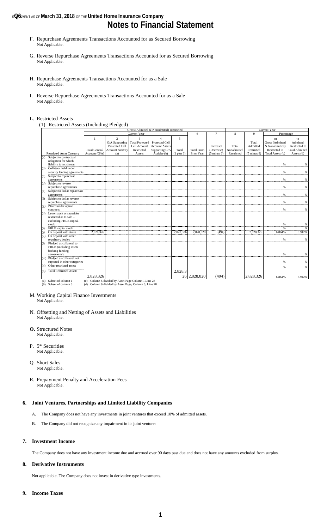#### **s@6** Mentin As of **March 31, 2018** of the United Home Insurance Company

### **Notes to Financial Statement**

- F. Repurchase Agreements Transactions Accounted for as Secured Borrowing Not Applicable.
- G. Reverse Repurchase Agreements Transactions Accounted for as Secured Borrowing Not Applicable.
- H. Repurchase Agreements Transactions Accounted for as a Sale Not Applicable.
- I. Reverse Repurchase Agreements Transactions Accounted for as a Sale Not Applicable.

#### L. Restricted Assets

(1) Restricted Assets (Including Pledged)

|         |                                            |                      | Gross (Admitted & Nonadmited) Restricted              |                             |                                  |                |                   | Current Year           |             |                        |                       |                       |
|---------|--------------------------------------------|----------------------|-------------------------------------------------------|-----------------------------|----------------------------------|----------------|-------------------|------------------------|-------------|------------------------|-----------------------|-----------------------|
|         |                                            |                      |                                                       | Current Year                |                                  |                | 6                 | $\overline{7}$         | 8           | $\mathbf{Q}$           | Percentage            |                       |
|         |                                            |                      | $\overline{2}$<br>G/A Supporting                      | 3<br><b>Total Protected</b> | $\overline{A}$<br>Protected Cell | 5              |                   |                        |             | Total                  | 10<br>Gross (Admitted | 11<br>Admitted        |
|         |                                            |                      | Protected Cell                                        | Cell Account                | <b>Account Assets</b>            |                |                   | Increase/              | Total       | Admitted               | & Nonadmitted)        | Restricted to         |
|         |                                            | <b>Total General</b> | <b>Account Activity</b>                               | Restricted                  | Supporting G/A                   | Total          | <b>Total From</b> | (Decrease)             | Nonadmitted | Restricted             | Restricted to         | <b>Total Admitted</b> |
|         | <b>Restricted Asset Category</b>           | Account (G/A)        | (a)                                                   | Assets                      | Activity (b)                     | $(1$ plus $3)$ | Prior Year        | $(5 \text{ minus } 6)$ | Restricted  | $(5 \text{ minus } 8)$ | Total Assets (c)      | Assets (d)            |
| (a)     | Subject to contractual                     |                      |                                                       |                             |                                  |                |                   |                        |             |                        |                       |                       |
|         | obligation for which                       |                      |                                                       |                             |                                  |                |                   |                        |             |                        |                       |                       |
|         | liability is not shown                     |                      |                                                       |                             |                                  |                |                   |                        |             |                        | %                     | %                     |
| (b)     | Collateral held under                      |                      |                                                       |                             |                                  |                |                   |                        |             |                        |                       |                       |
|         | security lending agreements                |                      |                                                       |                             |                                  |                |                   |                        |             |                        | $\%$                  | %                     |
| (c)     | Subject to repurchase                      |                      |                                                       |                             |                                  |                |                   |                        |             |                        |                       |                       |
|         | agreements                                 |                      |                                                       |                             |                                  |                |                   |                        |             |                        | %                     | %                     |
| (d)     | Subject to reverse                         |                      |                                                       |                             |                                  |                |                   |                        |             |                        |                       |                       |
|         | repurchase agreements                      |                      |                                                       |                             |                                  |                |                   |                        |             |                        | %                     | %                     |
| (e)     | Subject to dollar repurchase<br>agreements |                      |                                                       |                             |                                  |                |                   |                        |             |                        | %                     | %                     |
| (f)     | Subject to dollar reverse                  |                      |                                                       |                             |                                  |                |                   |                        |             |                        |                       |                       |
|         | repurchase agreements                      |                      |                                                       |                             |                                  |                |                   |                        |             |                        | $\%$                  | %                     |
| (g)     | Placed under option                        |                      |                                                       |                             |                                  |                |                   |                        |             |                        |                       |                       |
|         | contracts                                  |                      |                                                       |                             |                                  |                |                   |                        |             |                        | %                     | %                     |
| (h)     | Letter stock or securities                 |                      |                                                       |                             |                                  |                |                   |                        |             |                        |                       |                       |
|         | restricted as to sale -                    |                      |                                                       |                             |                                  |                |                   |                        |             |                        |                       |                       |
|         | excluding FHLB capital                     |                      |                                                       |                             |                                  |                |                   |                        |             |                        |                       |                       |
|         | stock                                      |                      |                                                       |                             |                                  |                |                   |                        |             |                        | %                     | %                     |
| (i)     | FHLB capital stock                         |                      |                                                       |                             |                                  |                |                   |                        |             |                        | $\frac{9}{6}$         |                       |
| (i)     | On deposit with states                     | 2,828,326            |                                                       |                             |                                  | 2,828,326      | 2,828,820         | (494)                  |             | 2,828,326              | 6.864%                | 6.942%                |
| (k)     | On deposit with other                      |                      |                                                       |                             |                                  |                |                   |                        |             |                        |                       |                       |
|         | regulatory bodies                          |                      |                                                       |                             |                                  |                |                   |                        |             |                        | $\frac{0}{6}$         | $\frac{0}{6}$         |
| $\circ$ | Pledged as collateral to                   |                      |                                                       |                             |                                  |                |                   |                        |             |                        |                       |                       |
|         | FHLB (including assets                     |                      |                                                       |                             |                                  |                |                   |                        |             |                        |                       |                       |
|         | backing funding<br>agreements)             |                      |                                                       |                             |                                  |                |                   |                        |             |                        | %                     | %                     |
|         | (m) Pledged as collateral not              |                      |                                                       |                             |                                  |                |                   |                        |             |                        |                       |                       |
|         | captured in other categories               |                      |                                                       |                             |                                  |                |                   |                        |             |                        | %                     | %                     |
| (n)     | Other restricted assets                    |                      |                                                       |                             |                                  |                |                   |                        |             |                        |                       |                       |
|         |                                            |                      |                                                       |                             |                                  |                |                   |                        |             |                        | %                     | %                     |
| (o)     | <b>Total Restricted Assets</b>             |                      |                                                       |                             |                                  | 2,828,3        |                   |                        |             |                        |                       |                       |
|         |                                            | 2.828.326            |                                                       |                             |                                  |                | 26 2,828,820      | (494)                  |             | 2.828.326              | 6.864%                | 6.942%                |
| (a)     | Subset of column 1                         |                      | (c) Column 5 divided by Asset Page Column 1, Line 28  |                             |                                  |                |                   |                        |             |                        |                       |                       |
|         | (b) Subset of column 3                     |                      | (d) Column 9 divided by Asset Page, Column 3, Line 28 |                             |                                  |                |                   |                        |             |                        |                       |                       |

M. Working Capital Finance Investments

Not Applicable.

- N. Offsetting and Netting of Assets and Liabilities Not Applicable.
- **O.** Structured Notes Not Applicable.
- P. 5\* Securities Not Applicable.
- Q. Short Sales Not Applicable.
- R. Prepayment Penalty and Acceleration Fees Not Applicable.

#### **6. Joint Ventures, Partnerships and Limited Liability Companies**

- A. The Company does not have any investments in joint ventures that exceed 10% of admitted assets.
- B. The Company did not recognize any impairment in its joint ventures

#### **7. Investment Income**

The Company does not have any investment income due and accrued over 90 days past due and does not have any amounts excluded from surplus.

#### **8. Derivative Instruments**

Not applicable. The Company does not invest in derivative type investments.

#### **9. Income Taxes**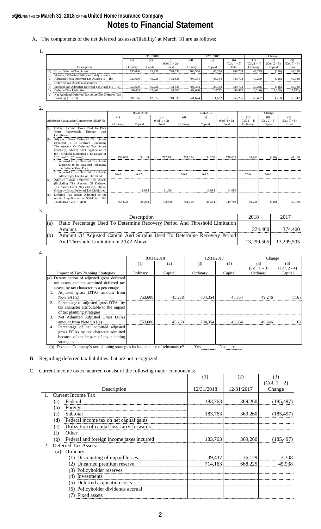### **s@6**EMENT AS OF **March 31, 2018** OF THE **United Home Insurance Company Notes to Financial Statement**

#### A. The components of the net deferred tax asset/(liability) at March 31 are as follows:

| 1. |     |                                                                             |            |         |                |            |         |                |              |                |                |
|----|-----|-----------------------------------------------------------------------------|------------|---------|----------------|------------|---------|----------------|--------------|----------------|----------------|
|    |     |                                                                             | 03/31/2018 |         |                | 12/31/2017 |         |                | Change       |                |                |
|    |     |                                                                             | (1)        | (2)     | (3)            | (4)        | (5)     | (6)            |              | (8)            | (9)            |
|    |     |                                                                             |            |         | $(Col. 1 + 2)$ |            |         | $(Col. 4 + 5)$ | (Col. 1 – 4) | $(Col. 2 - 5)$ | $(Col. 7 + 8)$ |
|    |     | Description                                                                 | Ordinary   | Capital | Total          | Ordinary   | Capital | Total          | Ordinary     | Capital        | Total          |
|    | (a) | Gross Deferred Tax Assets                                                   | 753,600    | 45.238  | 798.838        | 704.354    | 45.354  | 749,708        | 49.249       | (116)          | 49.130         |
|    | (b) | <b>Statutory Valuation Allowance Adjustments</b>                            |            |         |                |            |         |                |              |                |                |
|    | (c) | Adjusted Gross Deferred Tax Assets $(1a - 1b)$                              | 753,600    | 45.238  | 798.838        | 704.354    | 45.354  | 749,708        | 49.249       | (116)          | 49.130         |
|    | (d) | Deferred Tax Assets Nonadmitted                                             |            |         |                |            |         |                |              |                |                |
|    | (e) | Subtotal Net Admitted Deferred Tax Asset $(1c - 1d)$                        | 753,600    | 45.238  | 798.838        | 704.354    | 45.354  | 749,708        | 49.246       | (116)          | 49,130         |
|    | (f) | Deferred Tax Liabilities                                                    | 56.434     | 32,366  | 88,800         | 62,680     | 33732   | 96.412         | (6,246)      | (1, 366)       | (7,612)        |
|    | (g) | Net Admitted Deferred Tax Asset/(Net Deferred Tax<br>Liability) $(1e - 1f)$ | 697.166    | 12.872  | 710.038        | 641.674    | 11.622  | 653.296        | 55.492       | 1.250          | 56,742         |

2.

|     |                                                                           | 03/31/2018 |            |                |            | 12/31/2017 |                | Change         |                |                |  |
|-----|---------------------------------------------------------------------------|------------|------------|----------------|------------|------------|----------------|----------------|----------------|----------------|--|
|     |                                                                           | (1)        | (2)        | (3)            | (4)        | (5)        | (6)            | (7)            | (8)            | (9)            |  |
|     | Admission Calculation Components SSAP No.                                 |            |            | $(Col. 1 + 2)$ |            |            | $(Col. 4 + 5)$ | $(Col. 1 - 4)$ | $(Col. 2 - 5)$ | $(Col. 7 + 8)$ |  |
|     | 101                                                                       | Ordinary   | Capital    | Total          | Ordinary   | Capital    | Total          | Ordinary       | Capital        | Total          |  |
| (a) | Income Taxes Paid In Prior<br>Federal                                     |            |            |                |            |            |                |                |                |                |  |
|     | Recoverable<br>Through Loss<br>Years                                      |            |            |                |            |            |                |                |                |                |  |
|     | Carrybacks                                                                |            |            |                |            |            |                |                |                |                |  |
| (b) | Adjusted Gross Deferred Tax Assets                                        |            |            |                |            |            |                |                |                |                |  |
|     | Expected To Be Realized (Excluding                                        |            |            |                |            |            |                |                |                |                |  |
|     | The Amount Of Deferred Tax Assets                                         |            |            |                |            |            |                |                |                |                |  |
|     | From 2(a) Above) After Application of                                     |            |            |                |            |            |                |                |                |                |  |
|     | the Threshold Limitation (The Lesser of                                   |            |            |                |            |            |                |                |                |                |  |
|     | $2(b)1$ and $2(b)2$ below)                                                | 753,600    | 34.144     | 787,744        | 704.354    | 34,260     | 738.614        | 49.246         | (116)          | 49.130         |  |
|     | 1. Adjusted Gross Deferred Tax Assets                                     |            |            |                |            |            |                |                |                |                |  |
|     | Expected to be Realized Following                                         |            |            |                |            |            |                |                |                |                |  |
|     | the Balance Sheet Date                                                    |            |            |                |            |            |                |                |                |                |  |
|     | 2. Adjusted Gross Deferred Tax Assets<br>Allowed per Limitation Threshold | <b>XXX</b> | <b>XXX</b> |                | <b>XXX</b> | <b>XXX</b> |                | <b>XXX</b>     | <b>XXX</b>     |                |  |
| (c) | Adjusted Gross Deferred Tax Assets                                        |            |            |                |            |            |                |                |                |                |  |
|     | (Excluding The Amount Of Deferred                                         |            |            |                |            |            |                |                |                |                |  |
|     | Tax Assets From $2(a)$ and $2(b)$ above)                                  |            |            |                |            |            |                |                |                |                |  |
|     | Offset by Gross Deferred Tax Liabilities                                  |            | 11.094     | 11.094         |            | 11.094     | 11.094         |                |                |                |  |
| (d) | Deferred Tax Assets Admitted as the                                       |            |            |                |            |            |                |                |                |                |  |
|     | result of application of SSAP No. 101                                     |            |            |                |            |            |                |                |                |                |  |
|     | Total $(2(a) + 2(b) + 2(c))$                                              | 753,600    | 45.238     | 798.838        | 704.354    | 45,354     | 749,708        | 49.246         | (116)          | 49,130         |  |

3.

|     | Description                                                                 | 2018       | 2017       |
|-----|-----------------------------------------------------------------------------|------------|------------|
| (a) | Ratio Percentage Used To Determine Recovery Period And Threshold Limitation |            |            |
|     | Amount.                                                                     | 374.400    | 374.400    |
| (b) | Amount Of Adjusted Capital And Surplus Used To Determine Recovery Period    |            |            |
|     | And Threshold Limitation in 2(b)2 Above.                                    | 13.299.505 | 13,299,505 |

| $\overline{4}$ . |                                              |          |            |            |         |                |                |
|------------------|----------------------------------------------|----------|------------|------------|---------|----------------|----------------|
|                  |                                              |          | 03/31/2018 | 12/31/2017 |         | Change         |                |
|                  |                                              | (1)      | (2)        | (3)        | (4)     | (5)            | (6)            |
|                  |                                              |          |            |            |         | $(Col. 1 - 3)$ | $(Col. 2 - 4)$ |
|                  | <b>Impact of Tax-Planning Strategies</b>     | Ordinary | Capital    | Ordinary   | Capital | Ordinary       | Capital        |
|                  | (a) Determination of adjusted gross deferred |          |            |            |         |                |                |
|                  | tax assets and net admitted deferred tax     |          |            |            |         |                |                |
|                  | assets, by tax character as a percentage     |          |            |            |         |                |                |
|                  | Adjusted gross DTAs amount from              |          |            |            |         |                |                |
|                  | Note $9A1(c)$                                | 753,600  | 45.238     | 704.354    | 45.354  | 49.246         | (116)          |
|                  | Percentage of adjusted gross DTAs by         |          |            |            |         |                |                |
|                  | tax character attributable to the impact     |          |            |            |         |                |                |
|                  | of tax planning strategies                   |          |            |            |         |                |                |
|                  | Net Admitted Adjusted Gross DTAs<br>3.       |          |            |            |         |                |                |
|                  | amount from Note 9A1(e)                      | 753,600  | 45.238     | 704,354    | 45.354  | 49.246         | (116)          |
|                  | Percentage of net admitted adjusted<br>4.    |          |            |            |         |                |                |
|                  | gross DTAs by tax character admitted         |          |            |            |         |                |                |
|                  | because of the impact of tax planning        |          |            |            |         |                |                |
|                  | strategies                                   |          |            |            |         |                |                |

(b) Does the Company's tax-planning strategies include the use of reinsurance? Yes No X

#### B. Regarding deferred tax liabilities that are not recognized:

#### C. Current income taxes incurred consist of the following major components:

|     |                                            | (1)        | (2)        | (3)            |
|-----|--------------------------------------------|------------|------------|----------------|
|     |                                            |            |            | $(Col. 1 - 2)$ |
|     | Description                                | 12/31/2018 | 12/31/2017 | Change         |
|     | <b>Current Income Tax</b>                  |            |            |                |
| (a) | Federal                                    | 183,763    | 369,260    | (185, 497)     |
| (b) | Foreign                                    |            |            |                |
| (c) | Subtotal                                   | 183,763    | 369,260    | (185, 497)     |
| (d) | Federal income tax on net capital gains    |            |            |                |
| (e) | Utilization of capital loss carry-forwards |            |            |                |
| (f) | Other                                      |            |            |                |
| (g) | Federal and foreign income taxes incurred  | 183,763    | 369,260    | (185, 497)     |
|     | Deferred Tax Assets:                       |            |            |                |
| (a) | Ordinary                                   |            |            |                |
|     | (1) Discounting of unpaid losses           | 39,437     | 36,129     | 3,308          |
|     | (2) Unearned premium reserve               | 714,163    | 668,225    | 45,938         |
|     | (3) Policyholder reserves                  |            |            |                |
|     | (4) Investments                            |            |            |                |
|     | (5) Deferred acquisition costs             |            |            |                |
|     | (6) Policyholder dividends accrual         |            |            |                |
|     | (7) Fixed assets                           |            |            |                |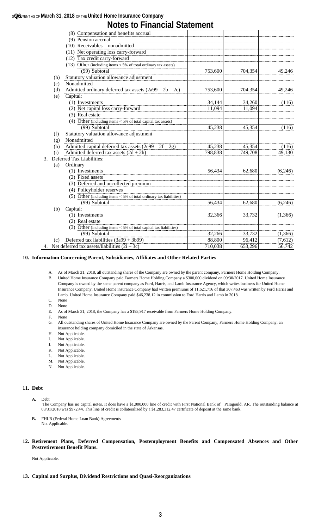#### **s@6**EMENT AS OF **March 31, 2018** OF THE **United Home Insurance Company**

|  |  | <b>Notes to Financial Statement</b> |
|--|--|-------------------------------------|
|--|--|-------------------------------------|

|               |     | (8) Compensation and benefits accrual                                |         |         |         |
|---------------|-----|----------------------------------------------------------------------|---------|---------|---------|
|               |     | (9) Pension accrual                                                  |         |         |         |
|               |     | $(10)$ Receivables – nonadmitted                                     |         |         |         |
|               |     | (11) Net operating loss carry-forward                                |         |         |         |
|               |     | (12) Tax credit carry-forward                                        |         |         |         |
|               |     | (13) Other (including items $<$ 5% of total ordinary tax assets)     |         |         |         |
|               |     | (99) Subtotal                                                        | 753,600 | 704,354 | 49,246  |
|               | (b) | Statutory valuation allowance adjustment                             |         |         |         |
|               | (c) | Nonadmitted                                                          |         |         |         |
|               | (d) | Admitted ordinary deferred tax assets $(2a99 – 2b – 2c)$             | 753,600 | 704,354 | 49,246  |
|               | (e) | Capital:                                                             |         |         |         |
|               |     | (1) Investments                                                      | 34,144  | 34,260  | (116)   |
|               |     | (2) Net capital loss carry-forward                                   | 11,094  | 11.094  |         |
|               |     | (3) Real estate                                                      |         |         |         |
|               |     | (4) Other (including items $<$ 5% of total capital tax assets)       |         |         |         |
|               |     | (99) Subtotal                                                        | 45,238  | 45,354  | (116)   |
|               | (f) | Statutory valuation allowance adjustment                             |         |         |         |
|               | (g) | Nonadmitted                                                          |         |         |         |
|               | (h) | Admitted capital deferred tax assets $(2e99 – 2f – 2g)$              | 45,238  | 45,354  | (116)   |
|               | (i) | Admitted deferred tax assets $(2d + 2h)$                             | 798,838 | 749,708 | 49,130  |
| $\mathcal{E}$ |     | Deferred Tax Liabilities:                                            |         |         |         |
|               | (a) | Ordinary                                                             |         |         |         |
|               |     | (1) Investments                                                      | 56,434  | 62,680  | (6,246) |
|               |     | (2) Fixed assets                                                     |         |         |         |
|               |     | (3) Deferred and uncollected premium                                 |         |         |         |
|               |     | (4) Policyholder reserves                                            |         |         |         |
|               |     | (5) Other (including items $<$ 5% of total ordinary tax liabilities) |         |         |         |
|               |     | (99) Subtotal                                                        | 56,434  | 62,680  | (6,246) |
|               | (b) | Capital:                                                             |         |         |         |
|               |     | (1) Investments                                                      | 32,366  | 33,732  | (1,366) |
|               |     | (2) Real estate                                                      |         |         |         |
|               |     | (3) Other (including items $<$ 5% of total capital tax liabilities)  |         |         |         |
|               |     | (99) Subtotal                                                        | 32,266  | 33,732  | (1,366) |
|               | (c) | Deferred tax liabilities $(3a99 + 3b99)$                             | 88,800  | 96,412  | (7,612) |
|               |     | 4. Net deferred tax assets/liabilities $(2i – 3c)$                   | 710,038 | 653,296 | 56,742  |

#### **10. Information Concerning Parent, Subsidiaries, Affiliates and Other Related Parties**

- A. As of March 31, 2018, all outstanding shares of the Company are owned by the parent company, Farmers Home Holding Company.
- B. United Home Insurance Company paid Farmers Home Holding Company a \$300,000 dividend on 09/30/2017. United Home Insurance Company is owned by the same parent company as Ford, Harris, and Lamb Insurance Agency, which writes business for United Home Insurance Company. United Home insurance Company had written premiums of 11,621,716 of that 307,463 was written by Ford Harris and Lamb. United Home Insurance Company paid \$46,238.12 in commission to Ford Harris and Lamb in 2018.
- C. None
- D. None<br>E. As of As of March 31, 2018, the Company has a \$193,917 receivable from Farmers Home Holding Company.
- F. None
- G. All outstanding shares of United Home Insurance Company are owned by the Parent Company, Farmers Home Holding Company, an insurance holding company domiciled in the state of Arkansas.
- H. Not Applicable.
- I. Not Applicable.
- J. Not Applicable.
- K. Not Applicable.
- L. Not Applicable.
- M. Not Applicable.
- N. Not Applicable.

#### **11. Debt**

- The Company has no capital notes. It does have a \$1,000,000 line of credit with First National Bank of Paragould, AR. The outstanding balance at 03/31/2018 was \$972.44. This line of credit is collateralized by a \$1,283,312.47 certificate of deposit at the same bank.
- **B.** FHLB (Federal Home Loan Bank) Agreements Not Applicable.
- **12. Retirement Plans, Deferred Compensation, Postemployment Benefits and Compensated Absences and Other Postretirement Benefit Plans.**

Not Applicable.

#### **13. Capital and Surplus, Dividend Restrictions and Quasi-Reorganizations**

**A.** Debt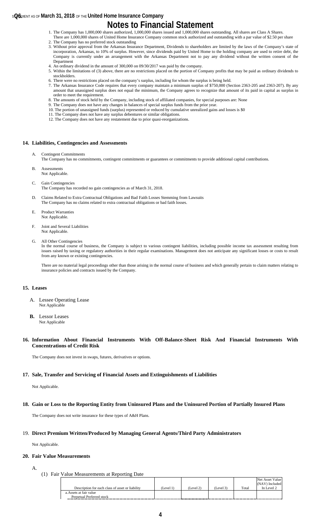#### **s@6**EMENT AS OF **March 31, 2018** OF THE **United Home Insurance Company**

### **Notes to Financial Statement**

- 1. The Company has 1,000,000 shares authorized, 1,000,000 shares issued and 1,000,000 shares outstanding. All shares are Class A Shares. There are 1,000,000 shares of United Home Insurance Company common stock authorized and outstanding with a par value of \$2.50 per share
- 2. The Company has no preferred stock outstanding
- 3. Without prior approval from the Arkansas Insurance Department, Dividends to shareholders are limited by the laws of the Company's state of incorporation, Arkansas, to 10% of surplus. However, since dividends paid by United Home to the holding company are used to retire debt, the Company is currently under an arrangement with the Arkansas Department not to pay any dividend without the written consent of the Department
- 4. An ordinary dividend in the amount of 300,000 on 09/30/2017 was paid by the company.
- 5. Within the limitations of (3) above, there are no restrictions placed on the portion of Company profits that may be paid as ordinary dividends to stockholders.
- 6. There were no restrictions placed on the company's surplus, including for whom the surplus is being held.
- 7. The Arkansas Insurance Code requires that every company maintain a minimum surplus of \$750,000 (Section 2363-205 and 2363-207). By any amount that unassigned surplus does not equal the minimum, the Company agrees to recognize that amount of its paid in capital as surplus in order to meet the requirement.
- 8. The amounts of stock held by the Company, including stock of affiliated companies, for special purposes are: None
- 9. The Company does not have any changes in balances of special surplus funds from the prior year. 10. The portion of unassigned funds (surplus) represented or reduced by cumulative unrealized gains and losses is \$0
- 11. The Company does not have any surplus debentures or similar obligations.
- 12. The Company does not have any restatement due to prior quasi-reorganizations.

#### **14. Liabilities, Contingencies and Assessments**

- **Contingent Commitments**
- The Company has no commitments, contingent commitments or guarantees or commitments to provide additional capital contributions.
- B. Assessments Not Applicable.
- C. Gain Contingencies The Company has recorded no gain contingencies as of March 31, 2018.
- D. Claims Related to Extra Contractual Obligations and Bad Faith Losses Stemming from Lawsuits The Company has no claims related to extra contractual obligations or bad faith losses.
- E. Product Warranties Not Applicable.
- F. Joint and Several Liabilities Not Applicable.
- G. All Other Contingencies

In the normal course of business, the Company is subject to various contingent liabilities, including possible income tax assessment resulting from issues raised by taxing or regulatory authorities in their regular examinations. Management does not anticipate any significant losses or costs to result from any known or existing contingencies.

There are no material legal proceedings other than those arising in the normal course of business and which generally pertain to claim matters relating to insurance policies and contracts issued by the Company.

#### **15. Leases**

- A. Lessee Operating Lease Not Applicable
- **B.** Lessor Leases Not Applicable
- **16. Information About Financial Instruments With Off-Balance-Sheet Risk And Financial Instruments With Concentrations of Credit Risk**

The Company does not invest in swaps, futures, derivatives or options.

#### **17. Sale, Transfer and Servicing of Financial Assets and Extinguishments of Liabilities**

Not Applicable.

#### **18. Gain or Loss to the Reporting Entity from Uninsured Plans and the Uninsured Portion of Partially Insured Plans**

The Company does not write insurance for these types of A&H Plans.

#### 19. **Direct Premium Written/Produced by Managing General Agents/Third Party Administrators**

Not Applicable.

#### **20. Fair Value Measurements**

- A.
- (1) Fair Value Measurements at Reporting Date

|                                                  |           |           |           |       | Net Asset Value |
|--------------------------------------------------|-----------|-----------|-----------|-------|-----------------|
|                                                  |           |           |           |       | (NAV) Included  |
| Description for each class of asset or liability | (Level 1) | (Level 2) | (Level 3) | Total | In Level 2      |
| a. Assets at fair value                          |           |           |           |       |                 |
| Perpetual Preferred stock                        |           |           |           |       |                 |
|                                                  |           |           |           |       |                 |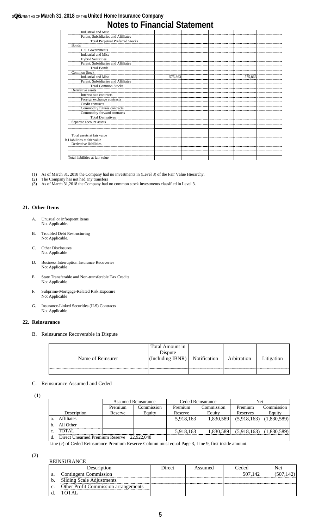### **s@6**EMENT AS OF **March 31, 2018** OF THE **United Home Insurance Company Notes to Financial Statement**

| Industrial and Misc                     |         |  |         |  |
|-----------------------------------------|---------|--|---------|--|
| Parent, Subsidiaries and Affiliates     |         |  |         |  |
| <b>Total Perpetual Preferred Stocks</b> |         |  |         |  |
| <b>Bonds</b>                            |         |  |         |  |
| U.S. Governments                        |         |  |         |  |
| Industrial and Misc                     |         |  |         |  |
| <b>Hybrid Securities</b>                |         |  |         |  |
| Parent, Subsidiaries and Affiliates     |         |  |         |  |
| <b>Total Bonds</b>                      |         |  |         |  |
| <b>Common Stock</b>                     |         |  |         |  |
| Industrial and Misc                     | 575,863 |  | 575,863 |  |
| Parent, Subsidiaries and Affiliates     |         |  |         |  |
| <b>Total Common Stocks</b>              |         |  |         |  |
| Derivative assets                       |         |  |         |  |
| Interest rate contracts                 |         |  |         |  |
| Foreign exchange contracts              |         |  |         |  |
| Credit contracts                        |         |  |         |  |
| Commodity futures contracts             |         |  |         |  |
| Commodity forward contracts             |         |  |         |  |
| <b>Total Derivatives</b>                |         |  |         |  |
| Separate account assets                 |         |  |         |  |
|                                         |         |  |         |  |
|                                         |         |  |         |  |
| Total assets at fair value              |         |  |         |  |
| b. Liabilities at fair value            |         |  |         |  |
| Derivative liabilities                  |         |  |         |  |
|                                         |         |  |         |  |
|                                         |         |  |         |  |
| Total liabilities at fair value         |         |  |         |  |

- (1) As of March 31, 2018 the Company had no investments in (Level 3) of the Fair Value Hierarchy.
- (2) The Company has not had any transfers
- (3) As of March 31,2018 the Company had no common stock investments classified in Level 3.

#### **21. Other Items**

- A. Unusual or Infrequent Items Not Applicable.
- B. Troubled Debt Restructuring Not Applicable.
- C. Other Disclosures Not Applicable
- D. Business Interruption Insurance Recoveries Not Applicable
- E. State Transferable and Non-transferable Tax Credits Not Applicable
- F. Subprime-Mortgage-Related Risk Exposure Not Applicable
- G. Insurance-Linked Securities (ILS) Contracts Not Applicable

#### **22. Reinsurance**

B. Reinsurance Recoverable in Dispute

|                   | Total Amount in<br>Dispute |                     |             |            |
|-------------------|----------------------------|---------------------|-------------|------------|
| Name of Reinsurer | (Including IBNR)           | <b>Notification</b> | Arbitration | Litigation |
|                   |                            |                     |             |            |
|                   |                            |                     |             |            |

#### C. Reinsurance Assumed and Ceded

(1)

|                                            |         | <b>Assumed Reinsurance</b> |           | Ceded Reinsurance | Net         |                             |
|--------------------------------------------|---------|----------------------------|-----------|-------------------|-------------|-----------------------------|
|                                            | Premium | Commission                 | Premium   | Commission        | Premium     | commission.                 |
| Description                                | Reserve | Equity                     | Reserve   | Equity            | Reserves    | Equity                      |
| <b>Affiliates</b>                          |         |                            | 5,918,163 | 1.830.589         | (5,918,163) | (1,830,589)                 |
| All Other                                  |         |                            |           |                   |             |                             |
| TOTAL                                      |         |                            | 5,918,163 | 1,830,589         |             | $(5,918,163)$ $(1,830,589)$ |
| Direct Unearned Premium Reserve 22,922,048 |         |                            |           |                   |             |                             |

Line (c) of Ceded Reinsurance Premium Reserve Column must equal Page 3, Line 9, first inside amount.

#### (2) REINSURANCE

| Description                                 | Direct | Assumed | Ceded   | Net |
|---------------------------------------------|--------|---------|---------|-----|
| <b>Contingent Commission</b>                |        |         | 507.142 |     |
| Sliding Scale Adjustments                   |        |         |         |     |
| <b>Other Profit Commission arrangements</b> |        |         |         |     |
| <b>TOTAL</b>                                |        |         |         |     |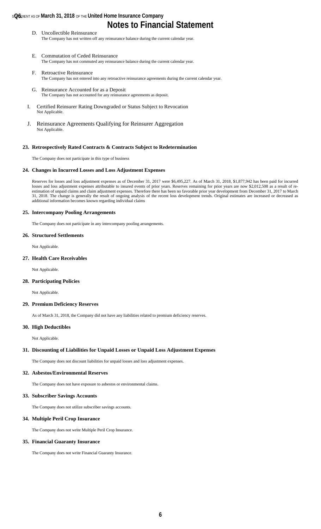#### **s@6**EMENT AS OF **March 31, 2018** OF THE **United Home Insurance Company**

# **Notes to Financial Statement**

- D. Uncollectible Reinsurance The Company has not written off any reinsurance balance during the current calendar year.
- E. Commutation of Ceded Reinsurance The Company has not commuted any reinsurance balance during the current calendar year.
- F. Retroactive Reinsurance The Company has not entered into any retroactive reinsurance agreements during the current calendar year.
- G. Reinsurance Accounted for as a Deposit The Company has not accounted for any reinsurance agreements as deposit.
- I. Certified Reinsurer Rating Downgraded or Status Subject to Revocation Not Applicable.
- J. Reinsurance Agreements Qualifying for Reinsurer Aggregation Not Applicable.

#### **23. Retrospectively Rated Contracts & Contracts Subject to Redetermination**

The Company does not participate in this type of business

#### **24. Changes in Incurred Losses and Loss Adjustment Expenses**

Reserves for losses and loss adjustment expenses as of December 31, 2017 were \$6,495,227. As of March 31, 2018, \$1,877,942 has been paid for incurred losses and loss adjustment expenses attributable to insured events of prior years. Reserves remaining for prior years are now \$2,012,508 as a result of reestimation of unpaid claims and claim adjustment expenses. Therefore there has been no favorable prior year development from December 31, 2017 to March 31, 2018. The change is generally the result of ongoing analysis of the recent loss development trends. Original estimates are increased or decreased as additional information becomes known regarding individual claims

#### **25. Intercompany Pooling Arrangements**

The Company does not participate in any intercompany pooling arrangements.

#### **26. Structured Settlements**

Not Applicable.

#### **27. Health Care Receivables**

Not Applicable.

#### **28. Participating Policies**

Not Applicable.

#### **29. Premium Deficiency Reserves**

As of March 31, 2018, the Company did not have any liabilities related to premium deficiency reserves.

#### **30. High Deductibles**

Not Applicable.

#### **31. Discounting of Liabilities for Unpaid Losses or Unpaid Loss Adjustment Expenses**

The Company does not discount liabilities for unpaid losses and loss adjustment expenses.

#### **32. Asbestos/Environmental Reserves**

The Company does not have exposure to asbestos or environmental claims.

#### **33. Subscriber Savings Accounts**

The Company does not utilize subscriber savings accounts.

#### **34. Multiple Peril Crop Insurance**

The Company does not write Multiple Peril Crop Insurance.

#### **35. Financial Guaranty Insurance**

The Company does not write Financial Guaranty Insurance.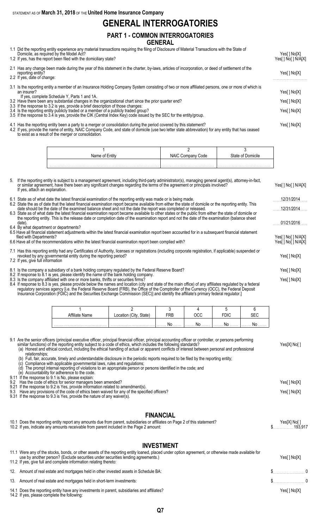STATEMENT AS OF **March 31, 2018** OF THE **United Home Insurance Company**

## **GENERAL INTERROGATORIES**

#### **PART 1 - COMMON INTERROGATORIES GENERAL**

- 1.1 Did the reporting entity experience any material transactions requiring the filing of Disclosure of Material Transactions with the State of
- Domicile, as required by the Model Act? Yes[ ] No[X] 1.2 If yes, has the report been filed with the domiciliary state? The state of the state of the state of the state of the state of the state of the state of the state of the state of the state of the state of the state of 2.1 Has any change been made during the year of this statement in the charter, by-laws, articles of incorporation, or deed of settlement of the reporting entity? Yes[ ] No[X] 2.2 If yes, date of change: 3.1 Is the reporting entity a member of an Insurance Holding Company System consisting of two or more affiliated persons, one or more of which is an insurer? Yes[] No[X] If yes, complete Schedule Y, Parts 1 and 1A. 3.2 Have there been any substantial changes in the organizational chart since the prior quarter end? Yes[ ] No[X] 3.3 If the response to 3.2 is yes, provide a brief description of those changes: 3.4 Is the reporting entity publicly traded or a member of a publicly traded group? Yes[ ] No[X] 3.5 If the response to 3.4 is yes, provide the CIK (Central Index Key) code issued by the SEC for the entity/group.
- 4.1 Has the reporting entity been a party to a merger or consolidation during the period covered by this statement? Yes[ ] No[X] 4.2 If yes, provide the name of entity, NAIC Company Code, and state of domicile (use two letter state abbreviation) for any entity that has ceased to exist as a result of the merger or consolidation.

| Name of Entity | Code<br><b>NAIC Company</b> | State of Domicile |
|----------------|-----------------------------|-------------------|
|                |                             |                   |
|                |                             |                   |

- 5. If the reporting entity is subject to a management agreement, including third-party administrator(s), managing general agent(s), attorney-in-fact, or similar agreement, have there been any significant changes regarding the terms of the agreement or principals involved? Yes[ ] No[ ] N/A[X] If yes, attach an explanation. 6.1 State as of what date the latest financial examination of the reporting entity was made or is being made. . . . . . . . . . . . . . . . . . . . . . . . . . 12/31/2014 6.2 State the as of date that the latest financial examination report became available from either the state of domicile or the reporting entity. This date should be the date of the examined balance sheet and not the date the report was completed or released. . . . . . . . . . . . . . . . . . . . . . . . . . 12/31/2014 6.3 State as of what date the latest financial examination report became available to other states or the public from either the state of domicile or the reporting entity. This is the release date or completion date of the examination report and not the date of the examination (balance sheet date). . . . . . . . . . . . . . . . . . . . . . . . . . 01/21/2016 6.4 By what department or departments? 6.5 Have all financial statement adjustments within the latest financial examination report been accounted for in a subsequent financial statement Yes[ ] No[ ] N/A[X]<br>Yes[ ] No[ ] N/A[X] 6.6 Have all of the recommendations within the latest financial examination report been complied with? 7.1 Has this reporting entity had any Certificates of Authority, licenses or registrations (including corporate registration, if applicable) suspended or revoked by any governmental entity during the reporting period? Yes[ ] No[X] 7.2 If yes, give full information 8.1 Is the company a subsidiary of a bank holding company regulated by the Federal Reserve Board? Yeser and the company and the Yeser of No[X] 8.2 If response to 8.1 is yes, please identify the name of the bank holding company. 8.3 Is the company affiliated with one or more banks, thrifts or securities firms? The company affiliated with one or more banks, thrifts or securities firms? The company affiliated with one or more banks, thrifts or secur 8.4 If response to 8.3 is yes, please provide below the names and location (city and state of the main office) of any affiliates regulated by a federal
	- regulatory services agency [i.e. the Federal Reserve Board (FRB), the Office of the Comptroller of the Currency (OCC), the Federal Deposit Insurance Corporation (FDIC) and the Securities Exchange Commission (SEC)] and identify the affiliate's primary federal regulator.]

| filiate Name | 'Citv.<br>State)<br>Location | FRB |    | <b>FDIC</b><br>טוע. | 7- C        |
|--------------|------------------------------|-----|----|---------------------|-------------|
|              |                              | No  | No | 1. No               | . <b>NO</b> |

| 9.2<br>9.21<br>9.3 | 9.1 Are the senior officers (principal executive officer, principal financial officer, principal accounting officer or controller, or persons performing<br>similar functions) of the reporting entity subject to a code of ethics, which includes the following standards?<br>(a) Honest and ethical conduct, including the ethical handling of actual or apparent conflicts of interest between personal and professional<br>relationships:<br>Full, fair, accurate, timely and understandable disclosure in the periodic reports required to be filed by the reporting entity;<br>Compliance with applicable governmental laws, rules and regulations;<br>The prompt internal reporting of violations to an appropriate person or persons identified in the code; and<br>(d)<br>Accountability for adherence to the code.<br>(e)<br>9.11 If the response to 9.1 is No. please explain:<br>Has the code of ethics for senior managers been amended?<br>If the response to 9.2 is Yes, provide information related to amendment(s).<br>Have any provisions of the code of ethics been waived for any of the specified officers?<br>9.31 If the response to 9.3 is Yes, provide the nature of any waiver(s). | Yes[X] No[]<br>Yes[ ] No[X]<br>Yes[] No[X] |
|--------------------|--------------------------------------------------------------------------------------------------------------------------------------------------------------------------------------------------------------------------------------------------------------------------------------------------------------------------------------------------------------------------------------------------------------------------------------------------------------------------------------------------------------------------------------------------------------------------------------------------------------------------------------------------------------------------------------------------------------------------------------------------------------------------------------------------------------------------------------------------------------------------------------------------------------------------------------------------------------------------------------------------------------------------------------------------------------------------------------------------------------------------------------------------------------------------------------------------------------|--------------------------------------------|
|                    | <b>FINANCIAL</b><br>10.1 Does the reporting entity report any amounts due from parent, subsidiaries or affiliates on Page 2 of this statement?                                                                                                                                                                                                                                                                                                                                                                                                                                                                                                                                                                                                                                                                                                                                                                                                                                                                                                                                                                                                                                                               | Yes[X] No[]                                |

10.2 If yes, indicate any amounts receivable from parent included in the Page 2 amount: \$. . . . . . . . . . . . . . . 193,917

#### **INVESTMENT**

| 11.1 Were any of the stocks, bonds, or other assets of the reporting entity loaned, placed under option agreement, or otherwise made available for<br>use by another person? (Exclude securities under securities lending agreements.)<br>11.2 If yes, give full and complete information relating thereto: | Yes[ ] No[X] |  |
|-------------------------------------------------------------------------------------------------------------------------------------------------------------------------------------------------------------------------------------------------------------------------------------------------------------|--------------|--|
| 12. Amount of real estate and mortgages held in other invested assets in Schedule BA:                                                                                                                                                                                                                       | $\sim$ 0     |  |
| 13. Amount of real estate and mortgages held in short-term investments:                                                                                                                                                                                                                                     | $\sim$ 0     |  |
| 14.1 Does the reporting entity have any investments in parent, subsidiaries and affiliates?<br>14.2 If yes, please complete the following:                                                                                                                                                                  | Yes[ ] No[X] |  |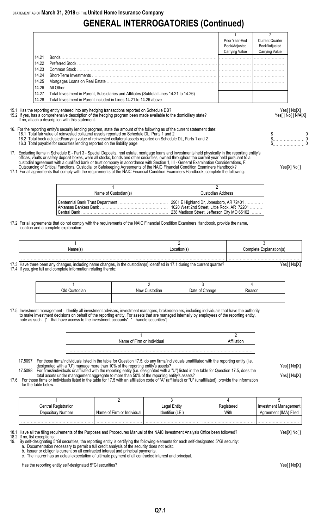# **GENERAL INTERROGATORIES (Continued)**

|       |                                                                                                                                    | Prior Year-End<br>Book/Adjusted<br>Carrying Value | <b>Current Quarter</b><br>Book/Adjusted<br><b>Carrying Value</b> |
|-------|------------------------------------------------------------------------------------------------------------------------------------|---------------------------------------------------|------------------------------------------------------------------|
| 14.21 | Bonds                                                                                                                              |                                                   |                                                                  |
| 14.22 | <b>Preferred Stock Example 20</b>                                                                                                  |                                                   |                                                                  |
| 14.23 |                                                                                                                                    |                                                   |                                                                  |
| 14.24 | Short-Term Investments                                                                                                             |                                                   |                                                                  |
| 14.25 |                                                                                                                                    |                                                   |                                                                  |
| 14.26 | All Other                                                                                                                          |                                                   |                                                                  |
| 14.27 |                                                                                                                                    |                                                   |                                                                  |
| 14.28 | Total Investment in Parent included in Lines 14.21 to 14.26 above <i>manufacture incurrent provision</i> [ <i>manufacture in</i> ] |                                                   |                                                                  |

15.1 Has the reporting entity entered into any hedging transactions reported on Schedule DB?<br>15.2 If yes, has a comprehensive description of the hedging program been made available to the domiciliary state?<br>Yes[] No[] N/A[

If no, attach a description with this statement.

16. For the reporting entity's security lending program, state the amount of the following as of the current statement date: 16.1 Total fair value of reinvested collateral assets reported on Schedule DL, Parts 1 and 2 **but a set a set a set a** set a set a set a set a protect on Schedule DL, Parts 1 and 2 **but a set a set a set a set a set a set** 

15.2 If yes, has a comprehensive description of the hedging program been made available to the domiciliary state?

- 16.2 Total book adjusted/carrying value of reinvested collateral assets reported on Schedule DL, Parts 1 and 2 \$. . . . . . . . . . . . . . . . . . . . . . . 0 16.2 Total book adjusted/carrying value of reinvested collateral assets reported on Schedule DL, Parts 1 and 2<br>16.3 Total payable for securities lending reported on the liability page the schedule DL, Parts 1 and 2 to the
- 17. Excluding items in Schedule E Part 3 Special Deposits, real estate, mortgage loans and investments held physically in the reporting entity's
	- offices, vaults or safety deposit boxes, were all stocks, bonds and other securities, owned throughout the current year held pursuant to a custodial agreement with a qualified bank or trust company in accordance with Section 1, III - General Examination Considerations, F. Outsourcing of Critical Functions, Custodial or Safekeeping Agreements of the NAIC Financial Condition Examiners Handbook? Yes[X] No[ ]

17.1 For all agreements that comply with the requirements of the NAIC Financial Condition Examiners Handbook, complete the following:

1 and  $\overline{2}$ Name of Custodian(s) and Custodian Address Centennial Bank Trust Department . . . . . . . . . . . . . . . . . . . . . . . . . . . . . . . . . . . . 2901 E Highland Dr, Jonesboro, AR 72401 . . . . . . . . . . . . . Arkansas Bankers Bank . . . . . . . . . . . . . . . . . . . . . . . . . . . . . . . . . . . . . . . . . . . . . . . . . 1020 West 2nd Street, Little Rock, AR 72201 . . . . . . . . . . Central Bank . . . . . . . . . . . . . . . . . . . . . . . . . . . . . . . . . . . . . . . . . . . . . . . . . . . . . . . . . . . . . . . 238 Madison Street, Jefferson City MO 65102 . . . . . . . . .

17.2 For all agreements that do not comply with the requirements of the NAIC Financial Condition Examiners Handbook, provide the name, location and a complete explanation:

| Name(s | ocatior | Complete Explanation(s)<br>anad011157' |
|--------|---------|----------------------------------------|
|        |         |                                        |
|        |         |                                        |

17.3 Have there been any changes, including name changes, in the custodian(s) identified in 17.1 during the current quarter? Yesell No[X] 17.4 If yes, give full and complete information relating thereto:

| hlC<br>diar | NAW<br>;ustodian | Date of Change | asor |
|-------------|------------------|----------------|------|
|             |                  |                |      |
|             |                  |                |      |

17.5 Investment management - Identify all investment advisors, investment managers, broker/dealers, including individuals that have the authority to make investment decisions on behalf of the reporting entity. For assets that are managed internally by employees of the reporting entity, note as such. [" that have access to the investment accounts"; " handle securities"]

| Name of Firm or Individual |  |
|----------------------------|--|
|                            |  |

17.5097 For those firms/individuals listed in the table for Question 17.5, do any firms/individuals unaffiliated with the reporting entity (i.e. designated with a "U") manage more than 10% of the reporting entity's assets? Yes[ ] No[X]

17.5098 For firms/individuals unaffiliated with the reporting entity (i.e. designated with a "U") listed in the table for Question 17.5, does the total assets under management aggregate to more than 50% of the reporting entity's assets? Yese and the reporting than the reporting entity's assets?

17.6 For those firms or individuals listed in the table for 17.5 with an affiliation code of "A" (affiliated) or "U" (unaffiliated), provide the information for the table below.

| Central Registration |                            | ∟egal Entity    | Registered | Investment Management |
|----------------------|----------------------------|-----------------|------------|-----------------------|
| Depository Number    | Name of Firm or Individual | dentifier (LEI) | With       | Agreement (IMA) Filed |
|                      |                            |                 |            |                       |
|                      | .                          |                 | .          |                       |

18.1 Have all the filing requirements of the Purposes and Procedures Manual of the NAIC Investment Analysis Office been followed? Yes[X] No[ ]

18.2 If no, list exceptions:<br>19. By self-designating 5

19. By self-designating 5\*GI securities, the reporting entity is certifying the following elements for each self-designated 5\*GI security:

a. Documentation necessary to permit a full credit analysis of the security does not exist. b. Issuer or obligor is current on all contracted interest and principal payments.

c. The insurer has an actual expectation of ultimate payment of all contracted interest and principal.

Has the reporting entity self-designated 5\*GI securities? The reporting the state of the state of the reporting of the SI No[X]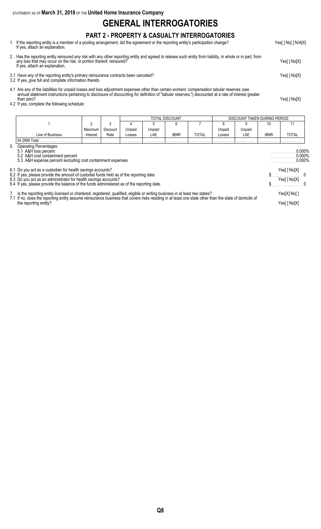STATEMENT AS OF **March 31, 2018** OF THE **United Home Insurance Company**

# **GENERAL INTERROGATORIES**

### **PART 2 - PROPERTY & CASUALTY INTERROGATORIES**

- 1. If the reporting entity is a member of a pooling arrangement, did the agreement or the reporting entity's participation change? Yes[ ] No[ ] N/A[X] If yes, attach an explanation.
- 2 . Has the reporting entity reinsured any risk with any other reporting entity and agreed to release such entity from liability, in whole or in part, from any loss that may occur on the risk, or portion thereof, reinsured? Yes[ ] No[X] If yes, attach an explanation.
- 3.1 Have any of the reporting entity's primary reinsurance contracts been canceled? Yes[ ] No[X]
- 3.2 If yes, give full and complete information thereto
- 4.1 Are any of the liabilities for unpaid losses and loss adjustment expenses other than certain workers' compensation tabular reserves (see annual statement instructions pertaining to disclosure of discounting for definition of "tabular reserves,") discounted at a rate of interest greater than zero? Yes[ ] No[X]
- 4.2 If yes, complete the following schedule:

|                                                                                                                                                                                                                                                                                                                 |          |                 |        |        | TOTAL DISCOUNT |              |        | DISCOUNT TAKEN DURING PERIOD |                                     |              |
|-----------------------------------------------------------------------------------------------------------------------------------------------------------------------------------------------------------------------------------------------------------------------------------------------------------------|----------|-----------------|--------|--------|----------------|--------------|--------|------------------------------|-------------------------------------|--------------|
|                                                                                                                                                                                                                                                                                                                 | 2        | 3               |        |        | 6              |              |        | 9                            | 10                                  | 11           |
|                                                                                                                                                                                                                                                                                                                 | Maximum  | <b>Discount</b> | Unpaid | Unpaid |                |              | Unpaid | Unpaid                       |                                     |              |
| Line of Business                                                                                                                                                                                                                                                                                                | Interest | Rate            | Losses | LAE    | <b>IBNR</b>    | <b>TOTAL</b> | Losses | LAE                          | <b>IBNR</b>                         | <b>TOTAL</b> |
| 04.2999 Total                                                                                                                                                                                                                                                                                                   |          |                 |        |        |                |              |        |                              |                                     |              |
| 5. Operating Percentages:<br>5.1 A&H loss percent<br>5.2 A&H cost containment percent<br>5.3 A&H expense percent excluding cost containment expenses                                                                                                                                                            |          |                 |        |        |                |              |        |                              | $0.000\%$<br>$0.000\%$<br>$0.000\%$ |              |
| 6.1 Do you act as a custodian for health savings accounts?                                                                                                                                                                                                                                                      |          |                 |        |        |                |              |        |                              |                                     | Yes[ ] No[X] |
| 6.2 If yes, please provide the amount of custodial funds held as of the reporting date.<br>6.3 Do you act as an administrator for health savings accounts?                                                                                                                                                      |          |                 |        |        |                |              |        |                              |                                     |              |
| 6.4 If yes, please provide the balance of the funds administered as of the reporting date.                                                                                                                                                                                                                      |          |                 |        |        |                |              |        |                              |                                     | Yes[ ] No[X] |
| 7. Is the reporting entity licensed or chartered, registered, qualified, eligible or writing business in at least two states?<br>7.1 If no, does the reporting entity assume reinsurance business that covers risks residing in at least one state other than the state of domicile of<br>the reporting entity? |          |                 |        |        |                |              |        | Yes[X] No[]<br>Yes[] No[X]   |                                     |              |

**Q8**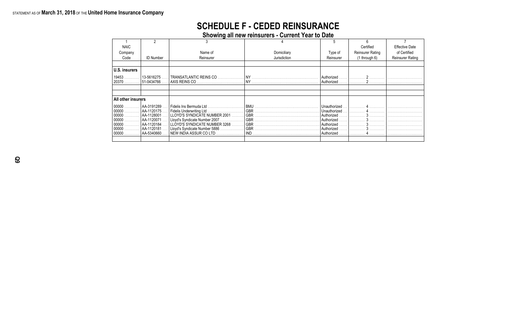# **SCHEDULE F - CEDED REINSURANCE**

**Showing all new reinsurers - Current Year to Date**

| <b>NAIC</b>                                                                |                                                                                                         |                                                                                                                           |              |                                                                                          | Certified         | <b>Effective Date</b> |
|----------------------------------------------------------------------------|---------------------------------------------------------------------------------------------------------|---------------------------------------------------------------------------------------------------------------------------|--------------|------------------------------------------------------------------------------------------|-------------------|-----------------------|
| Company                                                                    |                                                                                                         | Name of                                                                                                                   | Domiciliary  | Type of                                                                                  | Reinsurer Rating  | of Certified          |
| Code                                                                       | <b>ID Number</b>                                                                                        | Reinsurer                                                                                                                 | Jurisdiction | Reinsurer                                                                                | $(1$ through $6)$ | Reinsurer Rating      |
|                                                                            |                                                                                                         |                                                                                                                           |              |                                                                                          |                   |                       |
| U.S. insurers                                                              |                                                                                                         |                                                                                                                           |              |                                                                                          |                   |                       |
| 19453<br>20370                                                             | 13-5616275<br>  51-0434766 .                                                                            |                                                                                                                           |              | Authorized<br>Authorized                                                                 |                   |                       |
|                                                                            |                                                                                                         |                                                                                                                           |              |                                                                                          |                   |                       |
|                                                                            |                                                                                                         |                                                                                                                           |              |                                                                                          |                   |                       |
| All other insurers                                                         |                                                                                                         |                                                                                                                           |              |                                                                                          |                   |                       |
| 00000<br>.<br>$00000$<br>00000<br>$00000$<br>$00000$<br>$00000$<br>$00000$ | . 1AA-3191289  <br>AA-1120175<br>AA-1128001<br>AA-1120071<br>l AA-1120184<br>  AA-1120181<br>AA-5340660 | Fidelis Underwriting Ltd<br>LLOYD'S SYNDICATE NUMBER 3268<br>Lloyd's Syndicate Number 5886<br>.<br>NEW INDIA ASSUR COLTD. |              | Unauthorized<br>Unauthorized<br>Authorized<br>l Authorized<br>Authorized<br>  Authorized |                   |                       |
|                                                                            |                                                                                                         |                                                                                                                           |              |                                                                                          |                   |                       |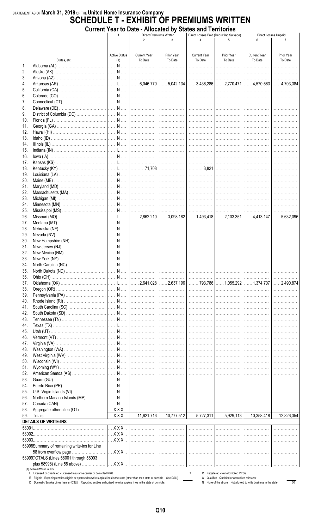# STATEMENT AS OF March 31, 2018 OF THE United Home Insurance Company<br>SCHEDULE T - EXHIBIT OF PREMIUMS WRITTEN Current Year to Date - Allocated by States and Territories

|              |                                                                                                                                                                                                                                                                  |                                        |                     | THIVOUGH DY<br>– www<br>Direct Premiums Written |                     | Direct Losses Paid (Deducting Salvage)                                                                            |                     | Direct Losses Unpaid |
|--------------|------------------------------------------------------------------------------------------------------------------------------------------------------------------------------------------------------------------------------------------------------------------|----------------------------------------|---------------------|-------------------------------------------------|---------------------|-------------------------------------------------------------------------------------------------------------------|---------------------|----------------------|
|              |                                                                                                                                                                                                                                                                  |                                        | 2                   | 3                                               | 4                   |                                                                                                                   | 6                   |                      |
|              |                                                                                                                                                                                                                                                                  |                                        |                     |                                                 |                     |                                                                                                                   |                     |                      |
|              |                                                                                                                                                                                                                                                                  | <b>Active Status</b>                   | <b>Current Year</b> | Prior Year                                      | <b>Current Year</b> | Prior Year                                                                                                        | <b>Current Year</b> | Prior Year           |
|              | States, etc.                                                                                                                                                                                                                                                     | (a)                                    | To Date             | To Date                                         | To Date             | To Date                                                                                                           | To Date             | To Date              |
| $\ddagger$ . |                                                                                                                                                                                                                                                                  |                                        |                     |                                                 | .                   | .                                                                                                                 | .                   |                      |
| 2.           |                                                                                                                                                                                                                                                                  |                                        |                     |                                                 |                     |                                                                                                                   | .                   | . <b>.</b> .         |
| 3.           |                                                                                                                                                                                                                                                                  |                                        |                     |                                                 |                     |                                                                                                                   |                     |                      |
| 4.           |                                                                                                                                                                                                                                                                  |                                        |                     |                                                 |                     |                                                                                                                   |                     |                      |
| 5.           |                                                                                                                                                                                                                                                                  |                                        |                     |                                                 |                     |                                                                                                                   |                     |                      |
| 6.           |                                                                                                                                                                                                                                                                  |                                        |                     |                                                 |                     |                                                                                                                   | .                   | .                    |
| 7.           |                                                                                                                                                                                                                                                                  |                                        |                     |                                                 |                     |                                                                                                                   | .                   | <br>                 |
| 8.           |                                                                                                                                                                                                                                                                  |                                        |                     |                                                 |                     |                                                                                                                   |                     |                      |
| 9.           |                                                                                                                                                                                                                                                                  |                                        |                     |                                                 |                     |                                                                                                                   |                     |                      |
| 10.          |                                                                                                                                                                                                                                                                  |                                        |                     |                                                 |                     |                                                                                                                   |                     |                      |
| 11.          |                                                                                                                                                                                                                                                                  |                                        |                     |                                                 |                     |                                                                                                                   |                     |                      |
| 12.          |                                                                                                                                                                                                                                                                  |                                        |                     |                                                 |                     |                                                                                                                   |                     |                      |
| 13.          |                                                                                                                                                                                                                                                                  |                                        |                     |                                                 |                     |                                                                                                                   |                     |                      |
|              |                                                                                                                                                                                                                                                                  |                                        |                     |                                                 |                     |                                                                                                                   | .                   | .                    |
| 14.          |                                                                                                                                                                                                                                                                  |                                        |                     |                                                 |                     |                                                                                                                   | .                   |                      |
| 15.          |                                                                                                                                                                                                                                                                  |                                        |                     |                                                 |                     |                                                                                                                   | .                   |                      |
| 16.          |                                                                                                                                                                                                                                                                  |                                        |                     |                                                 |                     |                                                                                                                   | .                   |                      |
| 17.          |                                                                                                                                                                                                                                                                  |                                        |                     |                                                 |                     |                                                                                                                   |                     | .                    |
| 18.          |                                                                                                                                                                                                                                                                  |                                        |                     |                                                 |                     |                                                                                                                   | .                   | .                    |
| 19.          |                                                                                                                                                                                                                                                                  |                                        |                     |                                                 |                     |                                                                                                                   | .                   | .                    |
| 20.          |                                                                                                                                                                                                                                                                  |                                        |                     |                                                 |                     |                                                                                                                   |                     |                      |
| 21.          |                                                                                                                                                                                                                                                                  |                                        |                     |                                                 |                     |                                                                                                                   |                     |                      |
| 22.          |                                                                                                                                                                                                                                                                  |                                        |                     |                                                 |                     |                                                                                                                   |                     |                      |
| 23.          |                                                                                                                                                                                                                                                                  |                                        |                     |                                                 |                     |                                                                                                                   |                     |                      |
| 24.          |                                                                                                                                                                                                                                                                  |                                        |                     |                                                 |                     |                                                                                                                   |                     |                      |
| 25.          |                                                                                                                                                                                                                                                                  |                                        |                     |                                                 |                     |                                                                                                                   |                     |                      |
| 26.          |                                                                                                                                                                                                                                                                  |                                        |                     |                                                 |                     |                                                                                                                   |                     |                      |
| 27.          |                                                                                                                                                                                                                                                                  |                                        |                     |                                                 |                     |                                                                                                                   |                     |                      |
| 28.          |                                                                                                                                                                                                                                                                  |                                        |                     |                                                 |                     |                                                                                                                   | .                   |                      |
| 29.          |                                                                                                                                                                                                                                                                  |                                        |                     |                                                 |                     |                                                                                                                   |                     | . <b>.</b> .         |
| 30.          |                                                                                                                                                                                                                                                                  |                                        |                     |                                                 |                     |                                                                                                                   | .                   | .                    |
| 31.          |                                                                                                                                                                                                                                                                  |                                        |                     |                                                 |                     |                                                                                                                   |                     |                      |
|              |                                                                                                                                                                                                                                                                  |                                        |                     |                                                 |                     |                                                                                                                   | .                   | .                    |
| 32.          |                                                                                                                                                                                                                                                                  |                                        |                     |                                                 |                     |                                                                                                                   |                     | .                    |
| 33.          |                                                                                                                                                                                                                                                                  |                                        |                     |                                                 |                     |                                                                                                                   |                     |                      |
| 34.          |                                                                                                                                                                                                                                                                  |                                        |                     |                                                 |                     |                                                                                                                   |                     |                      |
| 35.          |                                                                                                                                                                                                                                                                  |                                        |                     |                                                 |                     |                                                                                                                   | .                   | .                    |
| 36.          |                                                                                                                                                                                                                                                                  |                                        |                     |                                                 | .                   | .                                                                                                                 | .                   |                      |
| 37.          |                                                                                                                                                                                                                                                                  |                                        |                     |                                                 |                     |                                                                                                                   |                     | $\ldots$ . 2,490,874 |
| 38.          |                                                                                                                                                                                                                                                                  |                                        |                     |                                                 | .                   | .                                                                                                                 | .                   | .                    |
| 39.          |                                                                                                                                                                                                                                                                  |                                        |                     |                                                 | .                   | .                                                                                                                 |                     |                      |
| 40.          |                                                                                                                                                                                                                                                                  |                                        |                     |                                                 | .                   | .                                                                                                                 |                     |                      |
| 41.          |                                                                                                                                                                                                                                                                  |                                        |                     |                                                 | .                   | . <b>.</b> .                                                                                                      |                     |                      |
| 42.          |                                                                                                                                                                                                                                                                  |                                        |                     |                                                 | .                   | .                                                                                                                 |                     |                      |
| 43.          |                                                                                                                                                                                                                                                                  |                                        |                     |                                                 | .                   | .                                                                                                                 |                     |                      |
| 44.          |                                                                                                                                                                                                                                                                  |                                        |                     |                                                 | .                   |                                                                                                                   | .                   | .                    |
| 45.          |                                                                                                                                                                                                                                                                  |                                        |                     |                                                 |                     |                                                                                                                   | .                   | .                    |
| 46.          |                                                                                                                                                                                                                                                                  |                                        |                     |                                                 |                     |                                                                                                                   |                     |                      |
| 47.          |                                                                                                                                                                                                                                                                  |                                        |                     |                                                 | .                   | .                                                                                                                 | .                   | .                    |
| 48.          |                                                                                                                                                                                                                                                                  |                                        |                     |                                                 | .                   | .                                                                                                                 | .                   | .                    |
| 49.          |                                                                                                                                                                                                                                                                  |                                        |                     |                                                 | .                   | .                                                                                                                 |                     |                      |
| 50.          |                                                                                                                                                                                                                                                                  |                                        |                     |                                                 | .                   | .                                                                                                                 | .                   |                      |
| 51.          |                                                                                                                                                                                                                                                                  |                                        |                     |                                                 | .                   | .                                                                                                                 |                     |                      |
| 52.          |                                                                                                                                                                                                                                                                  |                                        |                     |                                                 |                     |                                                                                                                   |                     |                      |
|              |                                                                                                                                                                                                                                                                  |                                        |                     |                                                 | .                   | .                                                                                                                 |                     |                      |
| 53.          |                                                                                                                                                                                                                                                                  |                                        |                     |                                                 | .                   | .                                                                                                                 | .                   |                      |
| 54.          |                                                                                                                                                                                                                                                                  |                                        |                     |                                                 | .                   | .                                                                                                                 | .                   |                      |
| 55.          |                                                                                                                                                                                                                                                                  |                                        |                     |                                                 | .                   | .                                                                                                                 | .                   |                      |
| 56.          |                                                                                                                                                                                                                                                                  |                                        |                     |                                                 |                     |                                                                                                                   | .                   | .                    |
| 57.          |                                                                                                                                                                                                                                                                  |                                        |                     |                                                 |                     |                                                                                                                   | .                   | .                    |
| 58.          |                                                                                                                                                                                                                                                                  |                                        |                     |                                                 |                     |                                                                                                                   |                     |                      |
| 59.          |                                                                                                                                                                                                                                                                  |                                        |                     |                                                 |                     |                                                                                                                   |                     |                      |
|              | <b>DETAILS OF WRITE-INS</b>                                                                                                                                                                                                                                      |                                        |                     |                                                 |                     |                                                                                                                   |                     |                      |
| 58001.       |                                                                                                                                                                                                                                                                  | $\left  \ldots$ X X X $\ldots \right $ | .                   | .                                               | .                   | .                                                                                                                 |                     |                      |
| 58002.       |                                                                                                                                                                                                                                                                  | $\ldots$ X X X $\ldots$                | .                   | .                                               | .                   | .                                                                                                                 |                     |                      |
| 58003.       |                                                                                                                                                                                                                                                                  | $\ldots$ X X X $\ldots$                | .                   | .                                               | .                   | .                                                                                                                 |                     |                      |
|              | 58998Summary of remaining write-ins for Line                                                                                                                                                                                                                     |                                        |                     |                                                 |                     |                                                                                                                   |                     |                      |
|              | 58 from overflow page                                                                                                                                                                                                                                            |                                        |                     |                                                 | .                   | .                                                                                                                 | .                   |                      |
|              | 58999TOTALS (Lines 58001 through 58003                                                                                                                                                                                                                           |                                        |                     |                                                 |                     |                                                                                                                   |                     |                      |
|              | plus 58998) (Line 58 above)                                                                                                                                                                                                                                      | $$ $XXX$                               |                     |                                                 | .                   | .                                                                                                                 | .                   |                      |
|              | (a) Active Status Counts:                                                                                                                                                                                                                                        |                                        |                     |                                                 |                     |                                                                                                                   |                     |                      |
|              | L Licensed or Chartered - Licensed insurance carrier or domiciled RRG                                                                                                                                                                                            |                                        |                     |                                                 | $\mathbf{7}$        | R Registered - Non-domiciled RRGs                                                                                 |                     |                      |
|              | E Eligible - Reporting entities eligible or approved to write surplus lines in the state (other than their state of domicile See DSLI)<br>D Domestic Surplus Lines Insurer (DSLI) Reporting entities authorized to write surplus lines in the state of domicile. |                                        |                     |                                                 |                     | Q Qualified - Qualified or accredited reinsurer<br>N None of the above Not allowed to write business in the state |                     | 50                   |

Q10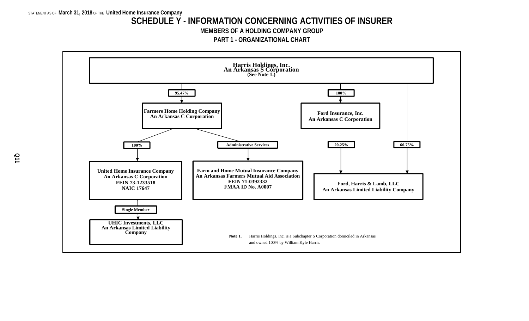### **SCHEDULE Y - INFORMATION CONCERNING ACTIVITIES OF INSURER**

**MEMBERS OF A HOLDING COMPANY GROUP**

**PART 1 - ORGANIZATIONAL CHART**

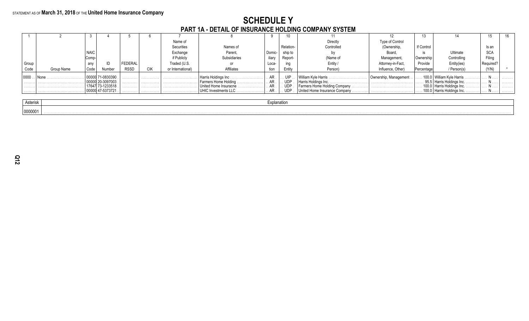# **SCHEDULE Y<br>PART 1A - DETAIL OF INSURANCE HOLDING COMPANY SYSTEM**

|       |            |      |                          |             |        | Name of           |                                                     |        |                     | Directly                       | Type of Control       |            |                                      |            |        |
|-------|------------|------|--------------------------|-------------|--------|-------------------|-----------------------------------------------------|--------|---------------------|--------------------------------|-----------------------|------------|--------------------------------------|------------|--------|
|       |            |      |                          |             |        | Securities        | Names of                                            |        | Relation-           | Controlled                     | (Ownership,           | If Control |                                      | Is an      |        |
|       |            | NAIC |                          |             |        | Exchange          | Parent,                                             | Domic- | ship to             |                                | Board                 |            | Ultimate                             | <b>SCA</b> |        |
|       |            | Comp |                          |             |        | if Publicly       | Subsidiaries                                        | iliary | Report-             | (Name of                       | Management            | Ownership  | Controlling                          | Filing     |        |
| Group |            | any  |                          | FEDERAL     |        | Traded (U.S.      | or                                                  | Loca-  |                     | Entity /                       | Attorney-in-Fact,     | Provide    | Entity(ies)                          | Required?  |        |
| Code  | Group Name | Code | Number                   | <b>RSSD</b> | CIK    | or International) | <b>Affiliates</b>                                   | tion   | Entity              | Person)                        | Influence, Other)     | Percentage | / Person(s)                          | (Y/N)      |        |
| 0000  |            |      | 71-0830390               | .           | .      |                   |                                                     | AR.    | . UIP               | William Kyle Harris            | Ownership, Management |            | . 100.0   William Kyle Harris        |            | .      |
| .     |            |      | 20-3097003<br>73-1233518 | .<br>.      | .<br>. |                   | Farmers Home Holding.<br>.<br>United Home Insuracne |        | <b>UDP</b><br>. UDP |                                |                       |            | 95.5   Harris Holdings Inc. $\ldots$ |            | .<br>. |
|       |            |      | 00000 47-5373721         |             |        |                   | UHIC Investments LLC                                |        | . UDP               | United Home Insurance Company. |                       |            |                                      |            | .      |
|       |            |      |                          |             |        |                   |                                                     |        |                     |                                |                       |            |                                      |            |        |

| Actorial |  |
|----------|--|
| 0000001  |  |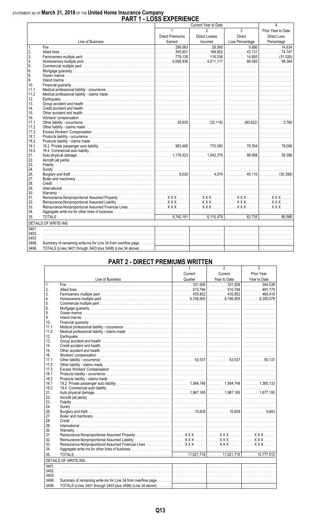# STATEMENT AS OF March 31, 2018 OF THE United Home Insurance Company<br>PART 1 - LOSS EXPERIENCE

| $\overline{3}$<br>$\mathbf{1}$<br>2<br>Prior Year to Date<br><b>Direct Premiums</b><br><b>Direct Losses</b><br>Direct<br>Direct Loss<br>Line of Business<br>Earned<br>Incurred<br>Loss Percentage<br>Percentage<br>$\overline{\phantom{a}}$<br>$\mathbf{1}$ .<br>. 74.747<br>2.<br>3.<br>$\overline{4}$ .<br>5.<br>6.<br>8.<br>9.<br>10.<br>11.1<br>11.2<br>12.<br>13.<br>14.<br>15.<br>16.<br>17.1<br>17.2<br>17.3<br>18.1<br>18.2<br>19.1<br>19.3<br>21.<br>22.<br>23.<br>24.<br>26.<br>27.<br>28.<br>29.<br>30.<br>31.<br>32.<br>33.<br>34.<br>35.<br><b>DETAILS OF WRITE-INS</b><br>3401.<br>3402.<br>3403.<br>3498.<br>3499. |  | LVVV LAI LINLI | Current Year to Date | 4 |
|-----------------------------------------------------------------------------------------------------------------------------------------------------------------------------------------------------------------------------------------------------------------------------------------------------------------------------------------------------------------------------------------------------------------------------------------------------------------------------------------------------------------------------------------------------------------------------------------------------------------------------------|--|----------------|----------------------|---|
|                                                                                                                                                                                                                                                                                                                                                                                                                                                                                                                                                                                                                                   |  |                |                      |   |
| $\overline{\phantom{a}14.634}$                                                                                                                                                                                                                                                                                                                                                                                                                                                                                                                                                                                                    |  |                |                      |   |
|                                                                                                                                                                                                                                                                                                                                                                                                                                                                                                                                                                                                                                   |  |                |                      |   |
|                                                                                                                                                                                                                                                                                                                                                                                                                                                                                                                                                                                                                                   |  |                |                      |   |
|                                                                                                                                                                                                                                                                                                                                                                                                                                                                                                                                                                                                                                   |  |                |                      |   |
|                                                                                                                                                                                                                                                                                                                                                                                                                                                                                                                                                                                                                                   |  |                |                      |   |
|                                                                                                                                                                                                                                                                                                                                                                                                                                                                                                                                                                                                                                   |  |                |                      |   |
|                                                                                                                                                                                                                                                                                                                                                                                                                                                                                                                                                                                                                                   |  |                |                      |   |
|                                                                                                                                                                                                                                                                                                                                                                                                                                                                                                                                                                                                                                   |  |                |                      |   |
|                                                                                                                                                                                                                                                                                                                                                                                                                                                                                                                                                                                                                                   |  |                |                      |   |
|                                                                                                                                                                                                                                                                                                                                                                                                                                                                                                                                                                                                                                   |  |                |                      |   |
|                                                                                                                                                                                                                                                                                                                                                                                                                                                                                                                                                                                                                                   |  |                |                      |   |
|                                                                                                                                                                                                                                                                                                                                                                                                                                                                                                                                                                                                                                   |  |                |                      |   |
|                                                                                                                                                                                                                                                                                                                                                                                                                                                                                                                                                                                                                                   |  |                |                      |   |
|                                                                                                                                                                                                                                                                                                                                                                                                                                                                                                                                                                                                                                   |  |                |                      |   |
|                                                                                                                                                                                                                                                                                                                                                                                                                                                                                                                                                                                                                                   |  |                |                      |   |
|                                                                                                                                                                                                                                                                                                                                                                                                                                                                                                                                                                                                                                   |  |                |                      |   |
|                                                                                                                                                                                                                                                                                                                                                                                                                                                                                                                                                                                                                                   |  |                |                      |   |
|                                                                                                                                                                                                                                                                                                                                                                                                                                                                                                                                                                                                                                   |  |                |                      |   |
|                                                                                                                                                                                                                                                                                                                                                                                                                                                                                                                                                                                                                                   |  |                |                      |   |
|                                                                                                                                                                                                                                                                                                                                                                                                                                                                                                                                                                                                                                   |  |                |                      |   |
|                                                                                                                                                                                                                                                                                                                                                                                                                                                                                                                                                                                                                                   |  |                |                      |   |
|                                                                                                                                                                                                                                                                                                                                                                                                                                                                                                                                                                                                                                   |  |                |                      |   |
|                                                                                                                                                                                                                                                                                                                                                                                                                                                                                                                                                                                                                                   |  |                |                      |   |
|                                                                                                                                                                                                                                                                                                                                                                                                                                                                                                                                                                                                                                   |  |                |                      |   |
|                                                                                                                                                                                                                                                                                                                                                                                                                                                                                                                                                                                                                                   |  |                |                      |   |
|                                                                                                                                                                                                                                                                                                                                                                                                                                                                                                                                                                                                                                   |  |                |                      |   |
|                                                                                                                                                                                                                                                                                                                                                                                                                                                                                                                                                                                                                                   |  |                |                      |   |
|                                                                                                                                                                                                                                                                                                                                                                                                                                                                                                                                                                                                                                   |  |                |                      |   |
|                                                                                                                                                                                                                                                                                                                                                                                                                                                                                                                                                                                                                                   |  |                |                      |   |
|                                                                                                                                                                                                                                                                                                                                                                                                                                                                                                                                                                                                                                   |  |                |                      |   |
|                                                                                                                                                                                                                                                                                                                                                                                                                                                                                                                                                                                                                                   |  |                |                      |   |
|                                                                                                                                                                                                                                                                                                                                                                                                                                                                                                                                                                                                                                   |  |                |                      |   |
|                                                                                                                                                                                                                                                                                                                                                                                                                                                                                                                                                                                                                                   |  |                |                      |   |
|                                                                                                                                                                                                                                                                                                                                                                                                                                                                                                                                                                                                                                   |  |                |                      |   |
|                                                                                                                                                                                                                                                                                                                                                                                                                                                                                                                                                                                                                                   |  |                |                      |   |
|                                                                                                                                                                                                                                                                                                                                                                                                                                                                                                                                                                                                                                   |  |                |                      |   |
|                                                                                                                                                                                                                                                                                                                                                                                                                                                                                                                                                                                                                                   |  |                |                      |   |
|                                                                                                                                                                                                                                                                                                                                                                                                                                                                                                                                                                                                                                   |  |                |                      |   |
|                                                                                                                                                                                                                                                                                                                                                                                                                                                                                                                                                                                                                                   |  |                |                      |   |
|                                                                                                                                                                                                                                                                                                                                                                                                                                                                                                                                                                                                                                   |  |                |                      |   |
|                                                                                                                                                                                                                                                                                                                                                                                                                                                                                                                                                                                                                                   |  |                |                      |   |
|                                                                                                                                                                                                                                                                                                                                                                                                                                                                                                                                                                                                                                   |  |                |                      |   |
|                                                                                                                                                                                                                                                                                                                                                                                                                                                                                                                                                                                                                                   |  |                |                      |   |
|                                                                                                                                                                                                                                                                                                                                                                                                                                                                                                                                                                                                                                   |  |                |                      |   |
|                                                                                                                                                                                                                                                                                                                                                                                                                                                                                                                                                                                                                                   |  |                |                      |   |
|                                                                                                                                                                                                                                                                                                                                                                                                                                                                                                                                                                                                                                   |  |                |                      |   |

### **PART 2 - DIRECT PREMIUMS WRITTEN**

|                |                             | 1       | 2            | 3            |
|----------------|-----------------------------|---------|--------------|--------------|
|                |                             | Current | Current      | Prior Year   |
|                | Line of Business            | Quarter | Year to Date | Year to Date |
| $\mathbf{1}$ . |                             |         |              |              |
| 2.             |                             |         |              |              |
| 3.             |                             |         |              |              |
| 4.             |                             |         |              |              |
| 5.             |                             |         |              |              |
| 6.             |                             |         |              |              |
| 8.             |                             |         |              |              |
| 9.             |                             |         |              |              |
| 10.            |                             |         |              |              |
| 11.1           |                             |         |              |              |
| 11.2           |                             |         |              |              |
| 12.            |                             |         |              |              |
| 13.            |                             |         |              |              |
| 14.            |                             |         |              |              |
| 15.            |                             |         |              |              |
| 16.            |                             |         |              |              |
| 17.1           |                             |         |              |              |
| 17.2           |                             |         |              |              |
| 17.3           |                             |         |              |              |
| 18.1           |                             |         |              |              |
| 18.2           |                             |         |              |              |
| 19.1           |                             |         |              |              |
| 19.3           |                             |         |              |              |
| 21.            |                             |         |              |              |
| 22.            |                             |         |              |              |
| 23.            |                             |         |              |              |
| 24.            |                             |         |              |              |
| 26.            |                             |         |              |              |
| 27.            |                             |         |              |              |
| 28.            |                             |         |              |              |
| 29.            |                             |         |              |              |
| 30.            |                             |         |              |              |
| 31.            |                             |         |              |              |
| 32.            |                             |         |              |              |
| 33.            |                             |         |              |              |
| 34.            |                             |         |              |              |
| 35.            |                             |         |              |              |
|                | <b>DETAILS OF WRITE-INS</b> |         |              |              |
| 3401.          |                             |         |              |              |
| 3402.          |                             |         |              |              |
| 3403.          |                             |         |              |              |
| 3498.          |                             |         |              |              |
|                |                             |         |              |              |
| 3499.          |                             |         |              |              |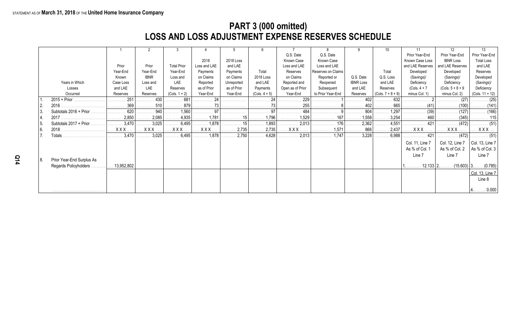# **PART 3 (000 omitted) LOSS AND LOSS ADJUSTMENT EXPENSE RESERVES SCHEDULE**

|      |                           |                       |                            | -3                    |                |                              | 6               |                  |                    |                  |                              |                  | 12                  | 13                           |
|------|---------------------------|-----------------------|----------------------------|-----------------------|----------------|------------------------------|-----------------|------------------|--------------------|------------------|------------------------------|------------------|---------------------|------------------------------|
|      |                           |                       |                            |                       |                |                              |                 | Q.S. Date        | Q.S. Date          |                  |                              | Prior Year-End   | Prior Year-End      | Prior Year-End               |
|      |                           |                       |                            |                       | 2018           | 2018 Loss                    |                 | Known Case       | Known Case         |                  |                              | Known Case Loss  | <b>IBNR Loss</b>    | <b>Total Loss</b>            |
|      |                           | Prior                 | Prior                      | <b>Total Prior</b>    | Loss and LAE   | and LAE                      |                 | Loss and LAE     | Loss and LAE       |                  |                              | and LAE Reserves | and LAE Reserves    | and LAE                      |
|      |                           | Year-End              | Year-End                   | Year-End              | Payments       | Payments                     | Total           | Reserves         | Reserves on Claims |                  | Total                        | Developed        | Developed           | Reserves                     |
|      |                           | Known                 | <b>IBNR</b>                | Loss and              | on Claims      | on Claims                    | 2018 Loss       | on Claims        | Reported or        | Q.S. Date        | Q.S. Loss                    | (Savings)/       | (Savings)/          | Developed                    |
|      | Years in Which            | Case Loss             | Loss and                   | LAE                   | Reported       | Unreported                   | and LAE         | Reported and     | Reopened           | <b>IBNR Loss</b> | and LAE                      | Deficiency       | Deficiency          | (Savings)/                   |
|      | Losses                    | and LAE               | LAE                        | Reserves              | as of Prior    | as of Prior                  | Payments        | Open as of Prior | Subsequent         | and LAE          | Reserves                     | $(Cols. 4 + 7)$  | $(Cols. 5 + 8 + 9)$ | Deficiency                   |
|      | Occurred                  | Reserves              | Reserves                   | $(Cols. 1 + 2)$       | Year-End       | Year-End                     | $(Cols. 4 + 5)$ | Year-End         | to Prior Year-End  | Reserves         | $(Cols. 7 + 8 + 9)$          | minus Col. 1)    | minus Col. 2)       | $(Cols. 11 + 12)$            |
|      |                           | 251                   | 430<br>.                   | 681<br>.              | 24<br>.        | .                            | .               | 229<br>.         |                    | 402              | 632<br>.                     |                  | $\cdots$ (27)       | . (25)                       |
|      |                           | 369                   | . 510                      | 879<br>.              | .              | .                            | . 73            | . 255            | .                  | . 402            | 665<br>.                     | <u></u> (41)     | (100)               | . (141                       |
|      | Subtotals 2016 + Prior.   | 620                   | $\ldots \ldots \ldots 940$ | $\ldots$ 1,560        | $\cdots$ 97    |                              | . 97            | $\cdots$ 484     |                    | 804              | 1,297                        |                  | (127)<br>.          | $\ldots \ldots \ldots (166)$ |
|      | 2017                      | 2,850                 | 2,085<br>.                 |                       | 1,781          | <u></u> 15                   | $\ldots$ 1,796  | 1,529            | . 167              | 1,558            | 3,254                        | .                | . (345)             |                              |
|      | Subtotals 2017 + Prior.   | .3,470                | $\ldots \ldots 3,025$      | $\ldots \ldots 6,495$ | 1,878          | . 15                         | 1,893           | 2,013            | . 176              | 2,362            | 4,551                        | . 421            |                     | . (51)                       |
| l 6. | 2018.                     | XXX.                  | <b>XXX</b>                 | <b>XXX</b>            | <b>XXX</b>     | 2,735<br>.                   | $\ldots$ 2,735  | <b>XXX</b>       | . 1,571            | 866              | . 2,437                      | <b>XXX</b>       | <b>XXX</b>          | . <b>X X X</b>               |
|      | <b>Fotals</b>             | $\ldots \ldots 3,470$ | $\ldots \ldots 3,025$      | . 6,495 $\vert$       | $\ldots$ 1,878 | $\ldots \ldots \ldots 2,750$ | $\ldots$ 4,628  | 2,013            | $\ldots$ 1,747     | .3,228<br>.      | $\ldots \ldots \ldots 6,988$ | 421              |                     | . (51)                       |
|      |                           |                       |                            |                       |                |                              |                 |                  |                    |                  |                              | Col. 11, Line 7  | Col. 12, Line 7     | $ $ Col. 13, Line 7          |
|      |                           |                       |                            |                       |                |                              |                 |                  |                    |                  |                              | As % of Col. 1   | As % of Col. 2      | As % of Col. 3               |
|      |                           |                       |                            |                       |                |                              |                 |                  |                    |                  |                              | Line 7           | Line 7              | Line 7                       |
| 18.  | Prior Year-End Surplus As |                       |                            |                       |                |                              |                 |                  |                    |                  |                              |                  |                     |                              |
|      | Regards Policyholders.    | 13,952,802            |                            |                       |                |                              |                 |                  |                    |                  |                              |                  | $12.133$   2.       | $(15.603)$ 3. (0.785)        |
|      |                           |                       |                            |                       |                |                              |                 |                  |                    |                  |                              |                  |                     |                              |
|      |                           |                       |                            |                       |                |                              |                 |                  |                    |                  |                              |                  |                     | Col. 13, Line 7              |
|      |                           |                       |                            |                       |                |                              |                 |                  |                    |                  |                              |                  |                     | Line 8                       |
|      |                           |                       |                            |                       |                |                              |                 |                  |                    |                  |                              |                  |                     |                              |
|      |                           |                       |                            |                       |                |                              |                 |                  |                    |                  |                              |                  |                     | $4$ 0.000                    |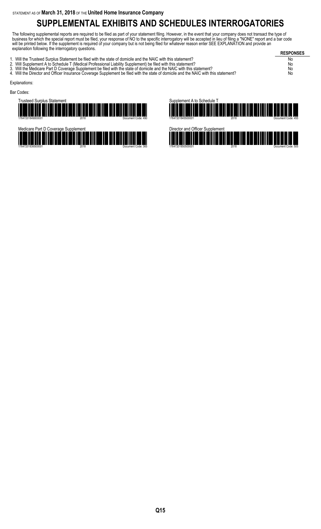# **SUPPLEMENTAL EXHIBITS AND SCHEDULES INTERROGATORIES**

The following supplemental reports are required to be filed as part of your statement filing. However, in the event that your company does not transact the type of business for which the special report must be filed, your response of NO to the specific interrogatory will be accepted in lieu of filing a "NONE" report and a bar code will be printed below. If the supplement is required of your company but is not being filed for whatever reason enter SEE EXPLANATION and provide an explanation following the interrogatory questions.

| orpianaton ronoming the interregatory quoctions.                                                                                                                                                                                                                                                                                                                                                                                                                                              | <b>RESPONSES</b>     |
|-----------------------------------------------------------------------------------------------------------------------------------------------------------------------------------------------------------------------------------------------------------------------------------------------------------------------------------------------------------------------------------------------------------------------------------------------------------------------------------------------|----------------------|
| 1. Will the Trusteed Surplus Statement be filed with the state of domicile and the NAIC with this statement?<br>2. Will Supplement A to Schedule T (Medical Professional Liability Supplement) be filed with this statement?<br>3. Will the Medicare Part D Coverage Supplement be filed with the state of domicile and the NAIC with this statement?<br>4. Will the Director and Officer Insurance Coverage Supplement be filed with the state of domicile and the NAIC with this statement? | No<br>No<br>No<br>No |
| Explanations:                                                                                                                                                                                                                                                                                                                                                                                                                                                                                 |                      |
| Bar Codes:                                                                                                                                                                                                                                                                                                                                                                                                                                                                                    |                      |







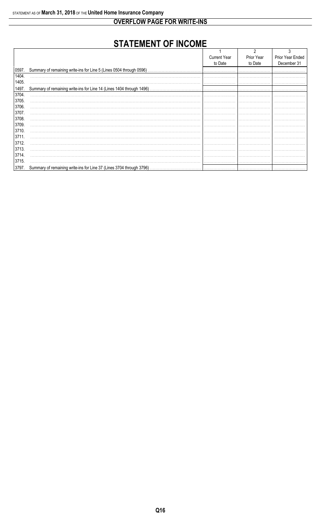**OVERFLOW PAGE FOR WRITE-INS** 

# **STATEMENT OF INCOME**

|       |                                                                       | <b>Current Year</b> | Prior Year | Prior Year Ended |
|-------|-----------------------------------------------------------------------|---------------------|------------|------------------|
|       |                                                                       | to Date             | to Date    | December 31      |
| 0597. | Summary of remaining write-ins for Line 5 (Lines 0504 through 0596)   |                     |            |                  |
| 1404. |                                                                       |                     |            |                  |
| 1405. |                                                                       |                     |            |                  |
| 1497. | Summary of remaining write-ins for Line 14 (Lines 1404 through 1496). |                     |            |                  |
| 3704. |                                                                       |                     |            |                  |
| 3705. |                                                                       |                     |            |                  |
| 3706. |                                                                       |                     |            |                  |
| 3707. |                                                                       |                     |            |                  |
| 3708. |                                                                       |                     |            |                  |
| 3709. |                                                                       |                     |            |                  |
| 3710. |                                                                       |                     |            |                  |
| 3711  |                                                                       |                     |            |                  |
| 3712. |                                                                       |                     |            |                  |
| 3713. |                                                                       |                     |            |                  |
| 3714. |                                                                       |                     |            |                  |
| 3715. |                                                                       |                     |            |                  |
| 3797. | Summary of remaining write-ins for Line 37 (Lines 3704 through 3796). |                     |            |                  |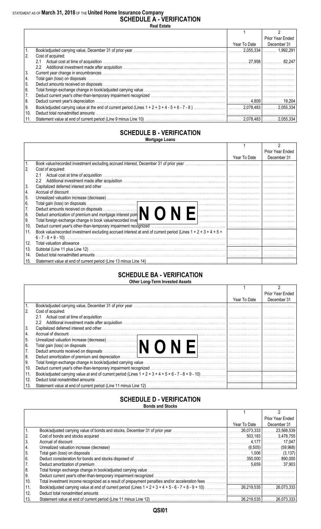#### STATEMENT AS OF **March 31, 2018** OF THE **United Home Insurance Company SCHEDULE A - VERIFICATION**

**Real Estate**

|      |                                  |              | Prior Year Ended         |
|------|----------------------------------|--------------|--------------------------|
|      |                                  | Year To Date | December 31              |
|      |                                  |              | $2.055.334$    1.992.291 |
| 2.   | Cost of acquired:                |              |                          |
|      | 2.1                              |              |                          |
|      | $2.2^{\circ}$                    |              |                          |
| 3.   |                                  |              |                          |
| 4.   |                                  |              |                          |
| 5.   |                                  |              |                          |
| 6.   |                                  |              |                          |
| 17.  |                                  |              |                          |
| 8.   |                                  |              |                          |
| I 9. |                                  |              |                          |
| 10.  | Deduct total nonadmitted amounts |              |                          |
| 11.  |                                  |              | 2.055.334                |

#### **SCHEDULE B - VERIFICATION Mortgage Loans**

|     |                                                                                                                                                                                                                                |              | Prior Year Ended |
|-----|--------------------------------------------------------------------------------------------------------------------------------------------------------------------------------------------------------------------------------|--------------|------------------|
|     |                                                                                                                                                                                                                                | Year To Date | December 31      |
|     |                                                                                                                                                                                                                                |              |                  |
| 2.  | Cost of acquired:                                                                                                                                                                                                              |              |                  |
|     | 2.1                                                                                                                                                                                                                            |              |                  |
|     | $2.2^{\circ}$                                                                                                                                                                                                                  |              |                  |
| 3.  | Capitalized deferred interest and other measurements are all the control of the control of the control of the control of the control of the control of the control of the control of the control of the control of the control |              |                  |
| 4.  | Accrual of discount.                                                                                                                                                                                                           |              |                  |
| 5.  |                                                                                                                                                                                                                                |              |                  |
| 6.  | Total gain (loss) on disposals<br>Deduct amounts received on disposals<br>Deduct amortization of premium and mortgage interest poin                                                                                            |              |                  |
| 7.  |                                                                                                                                                                                                                                |              |                  |
| 8.  |                                                                                                                                                                                                                                |              |                  |
| 9.  | Total foreign exchange change in book value/recorded inve                                                                                                                                                                      |              |                  |
| 10. | Deduct current year's other-than-temporary impairment recognized                                                                                                                                                               |              |                  |
| 11. | Book value/recorded investment excluding accrued interest at end of current period (Lines $1 + 2 + 3 + 4 + 5 + 1$ )                                                                                                            |              |                  |
|     |                                                                                                                                                                                                                                |              |                  |
| 12. |                                                                                                                                                                                                                                |              |                  |
| 13. |                                                                                                                                                                                                                                |              |                  |
| 14. |                                                                                                                                                                                                                                |              |                  |
| 15. |                                                                                                                                                                                                                                |              |                  |

#### **SCHEDULE BA - VERIFICATION Other Long-Term Invested Assets**

|      |                                                                                                                                                                                                                                    |              | Prior Year Ended |  |  |  |  |  |  |  |  |
|------|------------------------------------------------------------------------------------------------------------------------------------------------------------------------------------------------------------------------------------|--------------|------------------|--|--|--|--|--|--|--|--|
|      |                                                                                                                                                                                                                                    | Year To Date | December 31      |  |  |  |  |  |  |  |  |
|      |                                                                                                                                                                                                                                    |              |                  |  |  |  |  |  |  |  |  |
| 2.   | Cost of acquired:                                                                                                                                                                                                                  |              |                  |  |  |  |  |  |  |  |  |
|      | 2.1                                                                                                                                                                                                                                |              |                  |  |  |  |  |  |  |  |  |
|      | $2.2^{\circ}$                                                                                                                                                                                                                      |              |                  |  |  |  |  |  |  |  |  |
| 3.   | Capitalized deferred interest and other with the contract of the control of the control of the control of the control of the control of the control of the control of the control of the control of the control of the control     |              |                  |  |  |  |  |  |  |  |  |
| 14.  |                                                                                                                                                                                                                                    |              |                  |  |  |  |  |  |  |  |  |
| I 5. |                                                                                                                                                                                                                                    |              |                  |  |  |  |  |  |  |  |  |
| l 6. |                                                                                                                                                                                                                                    |              |                  |  |  |  |  |  |  |  |  |
| 7.   |                                                                                                                                                                                                                                    |              |                  |  |  |  |  |  |  |  |  |
| 8.   | Deduct amortization of premium and depreciation <i>manufacture in the content of the content of premium and depreciation</i> manufacture in the content of the content of the content of the content of the content of the content |              |                  |  |  |  |  |  |  |  |  |
| l 9. |                                                                                                                                                                                                                                    |              |                  |  |  |  |  |  |  |  |  |
| 10.  |                                                                                                                                                                                                                                    |              |                  |  |  |  |  |  |  |  |  |
| 11.  |                                                                                                                                                                                                                                    |              |                  |  |  |  |  |  |  |  |  |
| 12.  | Deduct total nonadmitted amounts                                                                                                                                                                                                   |              |                  |  |  |  |  |  |  |  |  |
| 13.  |                                                                                                                                                                                                                                    |              |                  |  |  |  |  |  |  |  |  |
|      |                                                                                                                                                                                                                                    |              |                  |  |  |  |  |  |  |  |  |

#### **SCHEDULE D - VERIFICATION Bonds and Stocks**

|               | DUIIUS AIIU OLUUNS                                                                                                                                                                                                             |              |                           |
|---------------|--------------------------------------------------------------------------------------------------------------------------------------------------------------------------------------------------------------------------------|--------------|---------------------------|
|               |                                                                                                                                                                                                                                |              |                           |
|               |                                                                                                                                                                                                                                |              | Prior Year Ended          |
|               |                                                                                                                                                                                                                                | Year To Date | December 31               |
|               | Book/adjusted carrying value of bonds and stocks, December 31 of prior year manufactured contract and the control of the 23,568,539 [  23,568,539 [  23,568,539 ]                                                              |              |                           |
| 2.            |                                                                                                                                                                                                                                |              |                           |
| 3.            |                                                                                                                                                                                                                                |              |                           |
| $\vert 4.$    |                                                                                                                                                                                                                                |              |                           |
| <sup>5.</sup> |                                                                                                                                                                                                                                |              |                           |
| 6.            |                                                                                                                                                                                                                                |              |                           |
| 7.            | Deduct amortization of premium measure and contact the contract of the contract of the contract of the contract of the contract of the contract of the contract of the contract of the contract of the contract of the contrac |              |                           |
| 8.            |                                                                                                                                                                                                                                |              |                           |
| ∣9.           |                                                                                                                                                                                                                                |              |                           |
| 10.           |                                                                                                                                                                                                                                |              |                           |
| 11.           |                                                                                                                                                                                                                                |              |                           |
| 12.           | Deduct total nonadmitted amounts                                                                                                                                                                                               |              |                           |
| 13.           |                                                                                                                                                                                                                                |              | . 26,219,535   26,073,333 |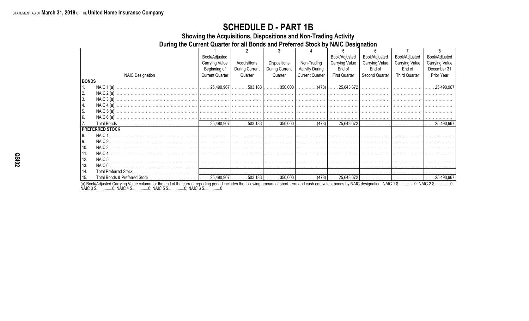### **SCHEDULE D - PART 1B**

Showing the Acquisitions, Dispositions and Non-Trading Activity

During the Current Quarter for all Bonds and Preferred Stock by NAIC Designation

|              |                         | Book/Adjusted          |                |                |                        | Book/Adjusted         | Book/Adjusted         | Book/Adjusted         | Book/Adjusted         |
|--------------|-------------------------|------------------------|----------------|----------------|------------------------|-----------------------|-----------------------|-----------------------|-----------------------|
|              |                         | <b>Carrying Value</b>  | Acquisitions   | Dispositions   | Non-Trading            | <b>Carrying Value</b> | <b>Carrying Value</b> | <b>Carrying Value</b> | <b>Carrying Value</b> |
|              |                         | Beginning of           | During Current | During Current | <b>Activity During</b> | End of                | End of                | End of                | December 31           |
|              | <b>NAIC Designation</b> | <b>Current Quarter</b> | Quarter        | Quarter        | <b>Current Quarter</b> | <b>First Quarter</b>  | Second Quarter        | <b>Third Quarter</b>  | Prior Year            |
| <b>BONDS</b> |                         |                        |                |                |                        |                       |                       |                       |                       |
|              | NAIC $1(a)$ .           |                        |                |                |                        |                       |                       |                       | $\ldots 25.490.967$   |
| 2.           |                         |                        |                |                |                        |                       |                       |                       |                       |
| 3.           |                         |                        |                |                |                        |                       |                       |                       |                       |
| 4.           | NAIC $4(a)$ .           |                        |                |                |                        |                       |                       |                       |                       |
| 5.           |                         |                        |                |                |                        |                       |                       |                       |                       |
| 6.           | NAIC $6(a)$ .           |                        |                |                |                        |                       |                       |                       |                       |
|              |                         |                        |                |                |                        |                       |                       |                       |                       |
|              | <b>PREFERRED STOCK</b>  |                        |                |                |                        |                       |                       |                       |                       |
| 8.           | NAIC 1                  |                        |                |                |                        |                       |                       |                       |                       |
| 9.           | NAIC 2                  |                        |                |                |                        |                       |                       |                       |                       |
| 10.          | NAIC 3                  |                        |                |                |                        |                       |                       |                       |                       |
| 11.          | NAIC 4                  |                        |                |                |                        |                       |                       |                       |                       |
| 12.          | NAIC 5                  |                        |                |                |                        |                       |                       |                       |                       |
| 13.          |                         |                        |                |                |                        |                       |                       |                       |                       |
| 14.          |                         |                        |                |                |                        |                       |                       |                       |                       |
| 15.          |                         |                        |                |                |                        |                       |                       |                       |                       |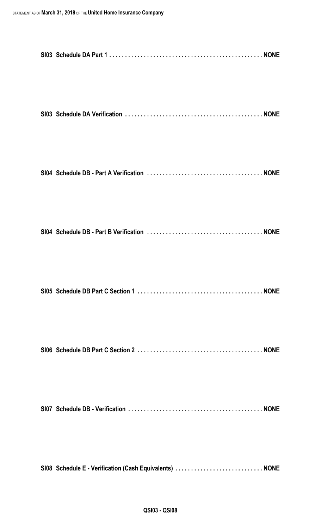| SI08 Schedule E - Verification (Cash Equivalents)  NONE |  |
|---------------------------------------------------------|--|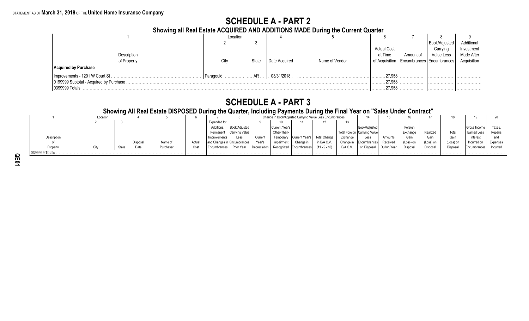# **SCHEDULE A - PART 2**

**Showing all Real Estate ACQUIRED AND ADDITIONS MADE During the Current Quarter**

|                                          | Location  |             |               |                |                    |           |                                              |             |
|------------------------------------------|-----------|-------------|---------------|----------------|--------------------|-----------|----------------------------------------------|-------------|
|                                          |           |             |               |                |                    |           | Book/Adjusted                                | Additional  |
|                                          |           |             |               |                | <b>Actual Cost</b> |           | Carrying                                     | Investment  |
| Description                              |           |             |               |                | at Time            | Amount of | Value Less                                   | Made After  |
| of Property                              | City      | State       | Date Acquired | Name of Vendor |                    |           | of Acquisition   Encumbrances   Encumbrances | Acquisition |
| <b>Acquired by Purchase</b>              |           |             |               |                |                    |           |                                              |             |
| Improvements - 1201 W Court St.          | Paragould | AR          | 03/31/2018    |                | 27,958<br>.        |           | .                                            | .           |
| 0199999 Subtotal - Acquired by Purchase. |           | 27.958<br>. |               | .              | .                  |           |                                              |             |
| 0399999 Totals                           |           |             |               |                | 27,958<br>.        | .         | .                                            | .           |

# **SCHEDULE A - PART 3**

### **Showing All Real Estate DISPOSED During the Quarter, Including Payments During the Final Year on "Sales Under Contract"**

|                | Location |       |         |           |        |                                |                |         |                |                                          | Change in Book/Adjusted Carrying Value Less Encumbrances |           |                                |          |           |           |           |              |          |
|----------------|----------|-------|---------|-----------|--------|--------------------------------|----------------|---------|----------------|------------------------------------------|----------------------------------------------------------|-----------|--------------------------------|----------|-----------|-----------|-----------|--------------|----------|
|                |          |       |         |           |        | Expended for                   |                |         |                |                                          |                                                          |           |                                |          |           |           |           |              |          |
|                |          |       |         |           |        | Additions.                     | Book/Adiusted  |         | Current Year's |                                          |                                                          |           | Book/Adiusted                  |          | Foreian   |           |           | Gross Income | Taxes.   |
|                |          |       |         |           |        | Permanent                      | Carrying Value |         | Other-Than-    |                                          |                                                          |           | Total Foreign   Carrying Value |          | Exchange  |           | Total     | Earned Less  | Repairs  |
| Description    |          |       |         |           |        | Improvements                   | Less           | Current |                | Temporary   Current Year's               | <b>Total Change</b>                                      | Exchange  | Less                           | Amounts  | Gair      | Gain      | Gair      | Interest     | and      |
|                |          |       | Disposa | Name of   | Actual | I and Changes in IEncumbrances |                | Year's  | Impairment     | Change in                                | in B/A C.V.                                              | Change in | <b>IEncumbrances</b>           | Received | (Loss) on | (Loss) on | (Loss) on | Incurred on  | Expenses |
| Property       |          | State | Nate    | Purchaser | Cost   | Encumbrances                   | Prior Year     |         |                | Depreciation   Recognized   Encumbrances | $(11 - 9 - 10)$                                          | B/A C.V.  | on Disposal   During Year      |          | Disposal  | Disposa   | Disposal  | Encumbrances | Incurred |
| 0399999 Totals |          |       |         |           |        |                                |                |         |                |                                          |                                                          |           |                                |          |           |           | .         | .            |          |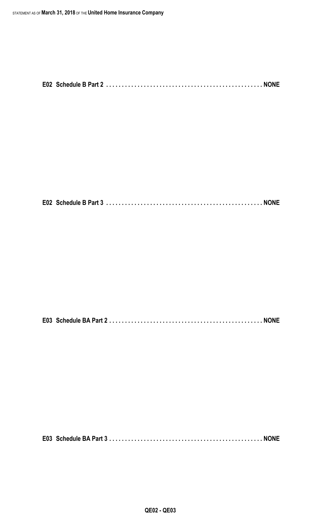**E02 Schedule B Part 3 . . . . . . . . . . . . . . . . . . . . . . . . . . . . . . . . . . . . . . . . . . . . . . . . . . NONE**

**E03 Schedule BA Part 2 . . . . . . . . . . . . . . . . . . . . . . . . . . . . . . . . . . . . . . . . . . . . . . . . . NONE**

**E03 Schedule BA Part 3 . . . . . . . . . . . . . . . . . . . . . . . . . . . . . . . . . . . . . . . . . . . . . . . . . NONE**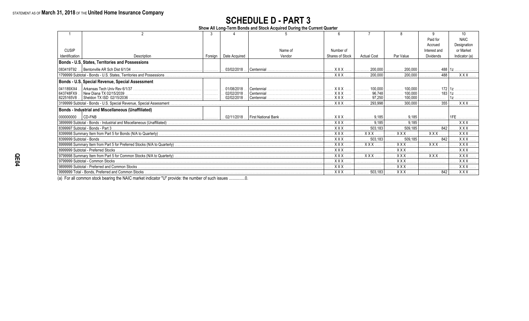# **SCHEDULE D - PART 3**

**Show All Long-Term Bonds and Stock Acquired During the Current Quarter**

|                          |                                                            |            |                  |              |                 |                    |           | Paid for     | <b>NAIC</b>   |
|--------------------------|------------------------------------------------------------|------------|------------------|--------------|-----------------|--------------------|-----------|--------------|---------------|
|                          |                                                            |            |                  |              |                 |                    |           | Accrued      | Designation   |
| <b>CUSIP</b>             |                                                            |            |                  | Name of      | Number of       |                    |           | Interest and | or Market     |
| Identification           | Description                                                | Foreign    | Date Acquired    | Vendor       | Shares of Stock | <b>Actual Cost</b> | Par Value | Dividends    | Indicator (a) |
|                          | Bonds - U.S. States, Territories and Possessions           |            |                  |              |                 |                    |           |              |               |
| 083419T92.               |                                                            |            | $. 03/02/2018$ . | Centennial   | $XXX$           | $200,000$          | 200.000   | 488 1z<br>.  |               |
|                          |                                                            |            |                  |              | $XXX$           | 200,000            | 200,000   | 488<br>.     | XXX           |
|                          | Bonds - U.S. Special Revenue, Special Assessment           |            |                  |              |                 |                    |           |              |               |
| 041189XX4                |                                                            |            | 01/08/2018       | l Centennial | XXX.            | 100.000            | 100.000   |              |               |
| 643748FX9                | New Diana TX 02/15/2039                                    |            | 02/02/2018       | Centennial   | . <b>X X X</b>  | 96.748             | 100.000   | 183          |               |
|                          |                                                            |            | 02/02/2018       | Centennial   | <b>XXX</b>      | .97,250            | 100,000   |              |               |
|                          |                                                            |            |                  |              | XXX             | 293,998            | 300.000   | 355          | $\ldots$ XXX  |
|                          | <b>Bonds - Industrial and Miscellaneous (Unaffiliated)</b> |            |                  |              |                 |                    |           |              |               |
| 100000000                | $[CD-FNB]$                                                 |            | $. 02/11/2018$ . |              | XXX             | 9.185              | 9.185     |              |               |
|                          |                                                            |            |                  |              | XXX             | 9.185              | 9.185     |              | $XXX$         |
|                          |                                                            |            |                  |              | <b>XXX</b>      | 503.183            | 509,185   | 842          | $XXX$         |
|                          |                                                            |            |                  |              | . X X X .       | <b>XXX</b>         | XXX       | <b>XXX</b>   | $XXX$         |
| 8399999 Subtotal - Bonds |                                                            |            |                  |              | <b>XXX</b> .    | 503,183            | 509,185   | 842          | $XXX$         |
|                          |                                                            |            |                  |              | . X X X         | <b>XXX</b>         | XXX.      | <b>XXX</b>   | $XXX$         |
|                          | 8999999 Subtotal - Preferred Stocks                        | <b>XXX</b> |                  | <b>XXX</b>   |                 | <b>XXX</b>         |           |              |               |
|                          |                                                            |            | XXX.             | $XXX$        | XXX.            | XXX                |           |              |               |
|                          |                                                            |            |                  |              | <b>XXX</b>      |                    | $XXX$     |              | $XXX$         |
|                          |                                                            |            |                  |              | <b>XXX</b>      |                    | $XXX$     |              | $XXX$         |
|                          |                                                            |            |                  |              | <b>XXX</b>      | $\ldots$ 503,183   | . X X X   | 842<br>.     |               |

(a) For all common stock bearing the NAIC market indicator "U" provide: the number of such issues ...............0.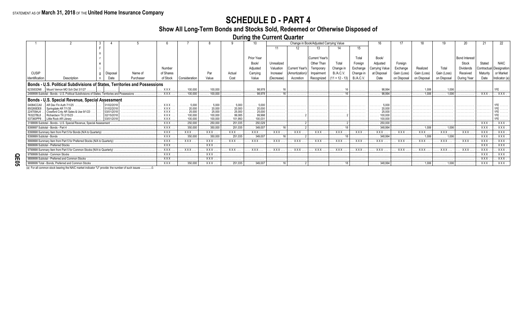# **SCHEDULE D - PART 4**

# **Show All Long-Term Bonds and Stocks Sold, Redeemed or Otherwise Disposed of**

**During the Current Quarter**

|                          |                                                                                               |            |          |                                    |                         |                    |                                         |                        | Change in Book/Adjusted Carrying Value |                |                                |                             |                  |                        |             |                       |                              |                      |             |              |
|--------------------------|-----------------------------------------------------------------------------------------------|------------|----------|------------------------------------|-------------------------|--------------------|-----------------------------------------|------------------------|----------------------------------------|----------------|--------------------------------|-----------------------------|------------------|------------------------|-------------|-----------------------|------------------------------|----------------------|-------------|--------------|
|                          |                                                                                               |            |          |                                    |                         |                    |                                         |                        |                                        |                |                                |                             |                  |                        |             |                       |                              |                      |             |              |
|                          |                                                                                               |            |          |                                    |                         |                    |                                         |                        |                                        |                |                                |                             |                  |                        |             |                       |                              |                      |             |              |
|                          |                                                                                               |            |          |                                    |                         |                    |                                         | Prior Year             |                                        |                | Current Year's                 |                             | Total            | Book/                  |             |                       |                              | <b>Bond Interest</b> |             |              |
|                          |                                                                                               |            |          |                                    |                         |                    |                                         | Book/                  | Unrealized                             |                | Other Than                     | Total                       | Foreian          | Adjusted               | Foreian     |                       |                              | Stock                |             |              |
|                          |                                                                                               |            |          | Number                             |                         |                    |                                         | Adjusted               | Valuation                              | Current Year's | Temporary                      | Change in                   | Exchange         | Carrying Valu          | Exchange    | Realized              | Total                        | Dividends            | Contractual | l Designatio |
| <b>CUSIP</b>             |                                                                                               |            | Name of  | of Shares                          |                         |                    | Actual                                  |                        | Increase/                              |                |                                |                             |                  |                        |             |                       |                              |                      | Maturity    | or Market    |
|                          |                                                                                               | Disposal   |          |                                    |                         | Par                |                                         | Carrying               |                                        | (Amortization) | Impairment                     | <b>B./A.C.V.</b>            | Change in        | at Disposal            | Gain (Loss) | Gain (Loss)           | Gain (Loss)                  | Received             |             |              |
| Identification           | Description                                                                                   |            | Purchase | of Stock                           | Consideration           | Value              | Cost                                    | Value                  | (Decrease)                             | Accretion      |                                | Recognized $(11 + 12 - 13)$ | <b>B./A.C.V.</b> | Date                   | on Disposal | on Disposal           | on Disposal                  | During Year          |             | ndicator (   |
|                          | Bonds - U.S. Political Subdivisions of States, Territories and Possessions                    |            |          |                                    |                         |                    |                                         |                        |                                        |                |                                |                             |                  |                        |             |                       |                              |                      |             |              |
|                          | 623583DN8 .   Mount Vernon MO Sch Dist 3/1/27                                                 |            |          | $\ldots$ XXX                       | $\ldots$ . 100.000      | $\ldots$ 100.000   | .                                       | $\ldots \ldots 98,978$ | . 10                                   | .              | .                              | .                           | .                | $\ldots \ldots 98,994$ | .           | $\ldots \ldots 1,006$ | $\ldots \ldots 1,006$        | .                    | .           | 1FE          |
|                          | 2499999 Subtotal - Bonds - U.S. Political Subdivisions of States. Territories and Possessions |            |          | $\ldots$ XXX                       | $\ldots$ . 100,000      | $\ldots$ . 100,000 | .                                       | 98.978<br>.            | .                                      |                |                                | .                           |                  | 98.994<br>.            |             | $\ldots \ldots 1,006$ | $\ldots \ldots \ldots$ 1,006 | .                    | . XXX.      | . XXX        |
|                          | Bonds - U.S. Special Revenue, Special Assessment                                              |            |          |                                    |                         |                    |                                         |                        |                                        |                |                                |                             |                  |                        |             |                       |                              |                      |             |              |
| 04084CCA0                | AR Dev Fin Auth 7/1/25                                                                        | 01/02/2018 |          | <b>XXX</b>                         | .5,000                  | 5,000              | 5,000                                   | 5,000                  | .                                      | .              |                                | .                           |                  |                        |             |                       |                              |                      |             |              |
|                          |                                                                                               | 01/02/201  |          |                                    | 20,000<br>.25.000       | 20,000             |                                         |                        |                                        |                |                                |                             |                  |                        |             |                       |                              |                      |             |              |
|                          | Crawford Cnty AR Sales & Use 9/1/23<br>Richardson TX 2/15/23                                  | 02/15/2018 |          |                                    | .<br>.                  | 25,000             | .25,000'                                |                        | .<br>.                                 | .              |                                | .<br>.                      |                  |                        |             |                       |                              |                      | .<br>.      |              |
| 537360PP8                | Little Rock AR Librarv                                                                        |            |          | $\ldots$ XXX                       | 100,000<br>.            | 100,000            | 101.950                                 |                        |                                        |                |                                |                             |                  |                        |             |                       |                              |                      |             |              |
|                          | 3199999 Subtotal - Bonds - U.S. Special Revenue, Special Assessment                           |            |          | $\ldots$ XXX.                      | $\ldots$ . 250,000      | 250,000            | $\ldots$ . 251,035                      | . 250.029              |                                        |                |                                |                             |                  | 250,000                |             |                       |                              |                      | XXX         | . XXX        |
|                          | 8399997 Subtotal - Bonds - Part 4                                                             |            |          | <b>XXX</b>                         | $\ldots$ .350,000       | 350,000            | . 251,035                               | 349.007                |                                        |                |                                |                             |                  | 348.994                |             |                       |                              |                      | <b>XXX</b>  | XXX          |
|                          |                                                                                               |            |          | XXX .                              | XXX.                    | . . XXX            | $\ldots$ XXX.                           | . XXX.                 | XXX                                    | . XXX.         | XXX                            | . XXX                       | $.$ XXX          | $\ldots$ XXX.          | . XXX.      | XXX.                  | $\ldots$ XXX.                | <b>XXX</b> .         | <b>XXX</b>  | . XXX        |
| 8399999 Subtotal - Bonds |                                                                                               |            |          | $\mathbf{XXX}$                     | $\ldots$ .350,000       | $\ldots$ . 350.000 | $\ldots$ 251.035                        | $\ldots$ . 349,007     | .                                      |                |                                | .                           | .                | $\ldots$ . 348.994     |             | $\ldots \ldots 1.006$ | $\ldots \ldots 1,006$        | .                    | <b>XXX</b>  | . XXX        |
|                          | 8999998 Summary Item from Part 5 for Preferred Stocks (N/A to Quarterly)                      |            |          | <b>XXX</b>                         | <b>XXX</b> .            | XXX                | XXX                                     | XXX .                  | XXX                                    | $\ldots$ XXX.  | $\mathbf{X} \times \mathbf{X}$ | . XXX                       | $.$ XXX          | . XXX                  | . XXX.      | . XXX.                | XXX.                         | <b>XXX</b> .         | <b>XXX</b>  | . XXX        |
|                          | 8999999 Subtotal - Preferred Stocks                                                           |            |          | XXX                                | .                       | <b>XXX</b> .       | .                                       |                        | .                                      |                |                                | .                           | .                | .                      |             |                       |                              | .                    | <b>XXX</b>  | . XXX        |
|                          | 9799998 Summary Item from Part 5 for Common Stocks (N/A to Quarterly)                         |            |          | <b>XXX</b>                         | XXX                     | XXX                | XXX                                     | XXX                    | XXX                                    | XXX            | XXX                            | XXX.                        | . . <b>XXX</b>   | XXX                    | . . XXX     | $.$ $XXX.$            | XXX.                         | XXX                  | <b>XXX</b>  | . XXX        |
|                          | 9799999 Subtotal - Common Stocks                                                              |            |          | $\mathbf{X} \times \mathbf{X}$     | .                       | XXX .              |                                         |                        |                                        |                |                                |                             |                  |                        |             |                       |                              |                      | XXX         | . XXX        |
|                          | 9899999 Subtotal - Preferred and Common Stocks                                                |            |          | $\mathbf{X} \times \mathbf{X}$     |                         | <b>XXX</b> .       |                                         |                        |                                        |                |                                |                             |                  |                        |             |                       |                              |                      | <b>XXX</b>  | . XXX        |
|                          | 9999999 Total - Bonds, Preferred and Common Stocks                                            |            |          | $\left  \dots \right.$ XXX $\dots$ | $\ldots \ldots 350,000$ | . XXX              | $\vert$ 251,035 $\vert$ 349,007 $\vert$ |                        |                                        |                |                                |                             |                  |                        | .           | $\ldots \ldots 1,006$ | $\ldots \ldots \ldots 1,006$ | .                    | . XXX       | . XXX .      |

**QE05**

(a) For all common stock bearing the NAIC market indicator "U" provide: the number of such issues ..................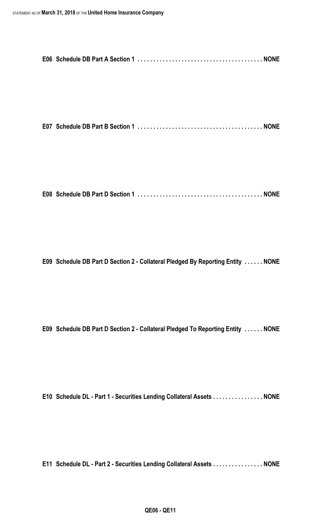**E07 Schedule DB Part B Section 1 . . . . . . . . . . . . . . . . . . . . . . . . . . . . . . . . . . . . . . . . NONE**

**E08 Schedule DB Part D Section 1 . . . . . . . . . . . . . . . . . . . . . . . . . . . . . . . . . . . . . . . . NONE**

**E09 Schedule DB Part D Section 2 - Collateral Pledged By Reporting Entity . . . . . . NONE**

**E09 Schedule DB Part D Section 2 - Collateral Pledged To Reporting Entity . . . . . . NONE**

**E10 Schedule DL - Part 1 - Securities Lending Collateral Assets . . . . . . . . . . . . . . . . NONE**

**E11 Schedule DL - Part 2 - Securities Lending Collateral Assets . . . . . . . . . . . . . . . . NONE**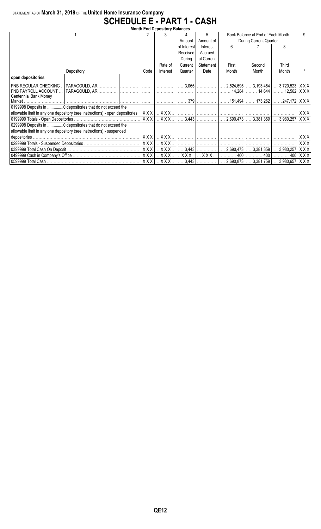### STATEMENT AS OF **March 31, 2018** OF THE **United Home Insurance Company SCHEDULE E - PART 1 - CASH**

| <b>Month End Depository Balances</b>                                 |                                                                              |       |                         |             |                         |                                   |                                    |                   |     |  |  |
|----------------------------------------------------------------------|------------------------------------------------------------------------------|-------|-------------------------|-------------|-------------------------|-----------------------------------|------------------------------------|-------------------|-----|--|--|
|                                                                      | 2                                                                            |       |                         | 5           |                         | Book Balance at End of Each Month | 9.                                 |                   |     |  |  |
|                                                                      |                                                                              |       | Amount                  | Amount of   | During Current Quarter  |                                   |                                    |                   |     |  |  |
|                                                                      |                                                                              |       |                         | of Interest | Interest                | 6                                 |                                    | 8                 |     |  |  |
|                                                                      |                                                                              |       |                         | Received    | Accrued                 |                                   |                                    |                   |     |  |  |
|                                                                      |                                                                              |       |                         | During      | at Current              |                                   |                                    |                   |     |  |  |
|                                                                      |                                                                              |       | Rate of                 | Current     | Statement               | First                             | Second                             | Third             |     |  |  |
|                                                                      | Depository                                                                   | Code  | Interest                | Quarter     | Date                    | Month                             | Month                              | Month             |     |  |  |
| open depositories                                                    |                                                                              |       |                         |             |                         |                                   |                                    |                   |     |  |  |
| I FNB REGULAR CHECKING                                               |                                                                              |       |                         |             |                         |                                   |                                    |                   |     |  |  |
| <b>FNB PAYROLL ACCOUNT</b>                                           |                                                                              |       |                         |             | .                       |                                   |                                    |                   |     |  |  |
| Centennial Bank Money                                                |                                                                              |       |                         |             |                         |                                   | $151,494$ 173,262  247,172   X X X |                   |     |  |  |
|                                                                      |                                                                              |       |                         |             |                         |                                   |                                    |                   |     |  |  |
|                                                                      | 0199998 Deposits in 0 depositories that do not exceed the                    |       |                         |             |                         |                                   |                                    |                   |     |  |  |
|                                                                      | allowable limit in any one depository (see Instructions) - open depositories |       |                         |             |                         |                                   |                                    |                   | XXX |  |  |
|                                                                      |                                                                              | XXX   | $\ldots$ X X X $\ldots$ |             | $\ldots$ 3,443 $\ldots$ |                                   | $2,690,473$ $3,381,359$            | 3,980,257   X X X |     |  |  |
|                                                                      | 0299998 Deposits in  0 depositories that do not exceed the                   |       |                         |             |                         |                                   |                                    |                   |     |  |  |
| allowable limit in any one depository (see Instructions) - suspended |                                                                              |       |                         |             |                         |                                   |                                    |                   |     |  |  |
|                                                                      |                                                                              |       | XXX                     |             |                         |                                   |                                    |                   | XXX |  |  |
|                                                                      |                                                                              |       | $XXX$                   |             |                         | .                                 |                                    |                   | XXX |  |  |
|                                                                      | XXX                                                                          | XXX.  | 3,443                   |             | 2,690,473               | $\ldots$ 3,381,359                | 3,980,257                          | XXX               |     |  |  |
|                                                                      | <b>XXX</b>                                                                   | XXX.  | XXX.                    | $XXX$       | . 400                   | . 400                             | 400                                | XXX               |     |  |  |
|                                                                      | <b>XXXI</b>                                                                  | X X X | 3,443                   | .           | 2,690,873               | $3,381,759$                       | $3,980,657$ $\mid$ X X X $\mid$    |                   |     |  |  |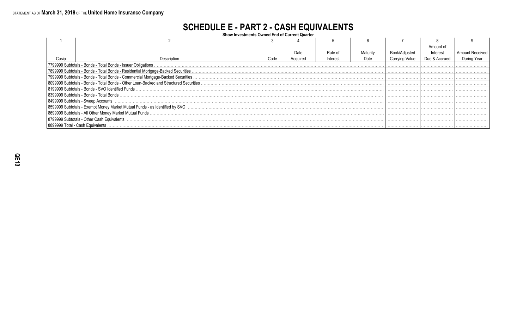# **SCHEDULE E - PART 2 - CASH EQUIVALENTS**

Show Investments Owned End of Current Quarter

|                                                               |                                                                                       |      |          |          |          |                | Amount of     |   |  |  |
|---------------------------------------------------------------|---------------------------------------------------------------------------------------|------|----------|----------|----------|----------------|---------------|---|--|--|
|                                                               |                                                                                       |      | Date     | Rate of  | Maturity | Book/Adjusted  | Interest      |   |  |  |
|                                                               | Description                                                                           | Code | Acquired | Interest | Date     | Carrying Value | Due & Accrued |   |  |  |
| 7799999 Subtotals - Bonds - Total Bonds - Issuer Obligations. |                                                                                       |      |          |          |          |                |               |   |  |  |
|                                                               |                                                                                       |      |          |          |          |                |               |   |  |  |
|                                                               |                                                                                       |      |          |          |          |                |               |   |  |  |
|                                                               | 8099999 Subtotals - Bonds - Total Bonds - Other Loan-Backed and Structured Securities |      |          |          |          |                |               |   |  |  |
|                                                               | 8199999 Subtotals - Bonds - SVO Identified Funds                                      |      |          |          |          |                |               |   |  |  |
|                                                               | l 8399999 Subtotals - Bonds - Total Bonds .                                           |      |          |          |          |                |               |   |  |  |
|                                                               | 8499999 Subtotals - Sweep Accounts.                                                   |      |          |          |          |                |               |   |  |  |
|                                                               |                                                                                       |      |          |          |          |                |               |   |  |  |
|                                                               |                                                                                       |      |          |          |          |                |               |   |  |  |
|                                                               | 8799999 Subtotals - Other Cash Equivalents .                                          |      |          |          |          |                |               |   |  |  |
|                                                               | 8899999 Total - Cash Equivalents                                                      |      |          |          |          |                |               | . |  |  |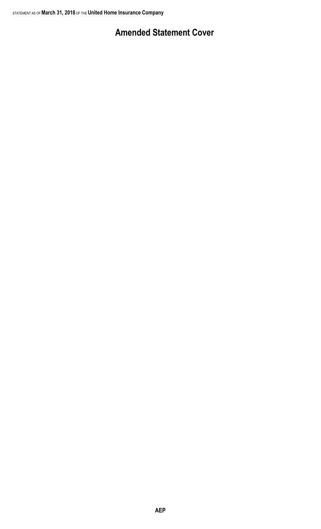# **Amended Statement Cover**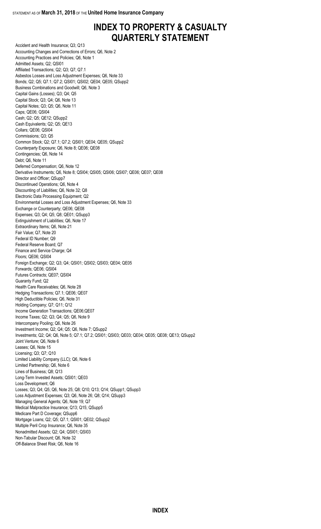# **INDEX TO PROPERTY & CASUALTY QUARTERLY STATEMENT**

Accident and Health Insurance; Q3; Q13 Accounting Changes and Corrections of Errors; Q6, Note 2 Accounting Practices and Policies; Q6, Note 1 Admitted Assets; Q2; QSI01 Affiliated Transactions; Q2; Q3; Q7; Q7.1 Asbestos Losses and Loss Adjustment Expenses; Q6, Note 33 Bonds; Q2; Q5; Q7.1; Q7.2; QSI01; QSI02; QE04; QE05; QSupp2 Business Combinations and Goodwill; Q6, Note 3 Capital Gains (Losses); Q3; Q4; Q5 Capital Stock; Q3; Q4; Q6, Note 13 Capital Notes; Q3; Q5; Q6, Note 11 Caps; QE06; QSI04 Cash; Q2; Q5; QE12; QSupp2 Cash Equivalents; Q2; Q5; QE13 Collars; QE06; QSI04 Commissions; Q3; Q5 Common Stock; Q2; Q7.1; Q7.2; QSI01; QE04; QE05; QSupp2 Counterparty Exposure; Q6, Note 8; QE06; QE08 Contingencies; Q6, Note 14 Debt; Q6, Note 11 Deferred Compensation; Q6, Note 12 Derivative Instruments; Q6, Note 8; QSI04; QSI05; QSI06; QSI07; QE06; QE07; QE08 Director and Officer; QSupp7 Discontinued Operations; Q6, Note 4 Discounting of Liabilities; Q6, Note 32; Q8 Electronic Data Processing Equipment; Q2 Environmental Losses and Loss Adjustment Expenses; Q6, Note 33 Exchange or Counterparty; QE06; QE08 Expenses; Q3; Q4; Q5; Q8; QE01; QSupp3 Extinguishment of Liabilities; Q6, Note 17 Extraordinary Items; Q6, Note 21 Fair Value; Q7, Note 20 Federal ID Number; Q9 Federal Reserve Board; Q7 Finance and Service Charge; Q4 Floors; QE06; QSI04 Foreign Exchange; Q2; Q3; Q4; QSI01; QSI02; QSI03; QE04; QE05 Forwards; QE06; QSI04 Futures Contracts; QE07; QSI04 Guaranty Fund; Q2 Health Care Receivables; Q6, Note 28 Hedging Transactions; Q7.1; QE06; QE07 High Deductible Policies; Q6, Note 31 Holding Company; Q7; Q11; Q12 Income Generation Transactions; QE06;QE07 Income Taxes; Q2; Q3; Q4; Q5; Q6, Note 9 Intercompany Pooling; Q6, Note 26 Investment Income; Q2; Q4; Q5; Q6, Note 7; QSupp2 Investments; Q2; Q4; Q6, Note 5; Q7.1; Q7.2; QSI01; QSI03; QE03; QE04; QE05; QE08; QE13; QSupp2 Joint Venture; Q6, Note 6 Leases; Q6, Note 15 Licensing; Q3; Q7; Q10 Limited Liability Company (LLC); Q6, Note 6 Limited Partnership; Q6, Note 6 Lines of Business; Q8; Q13 Long-Term Invested Assets; QSI01; QE03 Loss Development; Q6 Losses; Q3; Q4; Q5; Q6, Note 25; Q8; Q10; Q13; Q14; QSupp1; QSupp3 Loss Adjustment Expenses; Q3; Q6, Note 26; Q8; Q14; QSupp3 Managing General Agents; Q6, Note 19; Q7 Medical Malpractice Insurance; Q13; Q15; QSupp5 Medicare Part D Coverage; QSupp6 Mortgage Loans; Q2; Q5; Q7.1; QSI01; QE02; QSupp2 Multiple Peril Crop Insurance; Q6, Note 35 Nonadmitted Assets; Q2; Q4; QSI01; QSI03 Non-Tabular Discount; Q6, Note 32 Off-Balance Sheet Risk; Q6, Note 16